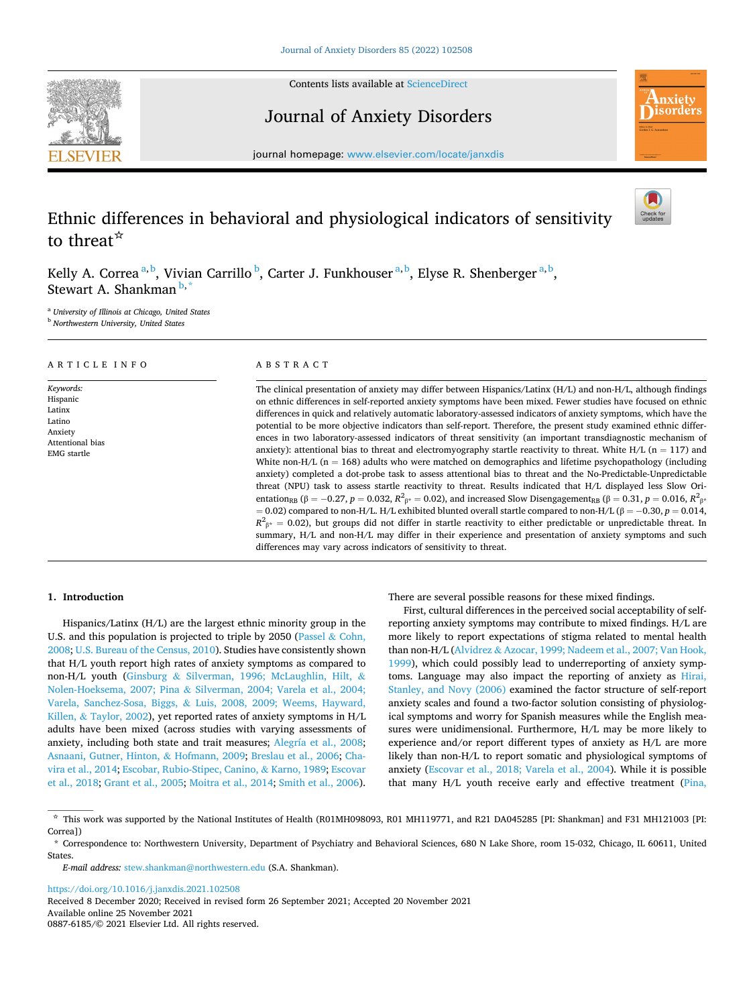

Contents lists available at [ScienceDirect](www.sciencedirect.com/science/journal/08876185)

Journal of Anxiety Disorders



journal homepage: [www.elsevier.com/locate/janxdis](https://www.elsevier.com/locate/janxdis) 

# Ethnic differences in behavioral and physiological indicators of sensitivity to threat☆

Kelly A. Correa<sup>a, b</sup>, Vivian Carrillo <sup>b</sup>, Carter J. Funkhouser<sup>a, b</sup>, Elyse R. Shenberger<sup>a, b</sup>, Stewart A. Shankman<sup>b,</sup>

<sup>a</sup> *University of Illinois at Chicago, United States* 

<sup>b</sup> *Northwestern University, United States* 

## ARTICLE INFO

*Keywords:*  Hispanic Latinx Latino Anxiety Attentional bias EMG startle

# ABSTRACT

The clinical presentation of anxiety may differ between Hispanics/Latinx (H/L) and non-H/L, although findings on ethnic differences in self-reported anxiety symptoms have been mixed. Fewer studies have focused on ethnic differences in quick and relatively automatic laboratory-assessed indicators of anxiety symptoms, which have the potential to be more objective indicators than self-report. Therefore, the present study examined ethnic differences in two laboratory-assessed indicators of threat sensitivity (an important transdiagnostic mechanism of anxiety): attentional bias to threat and electromyography startle reactivity to threat. White H/L (n = 117) and White non-H/L ( $n = 168$ ) adults who were matched on demographics and lifetime psychopathology (including anxiety) completed a dot-probe task to assess attentional bias to threat and the No-Predictable-Unpredictable threat (NPU) task to assess startle reactivity to threat. Results indicated that H/L displayed less Slow Orientation<sub>RB</sub> (β = −0.27, *p* = 0.032,  $R^2_{\beta^*}$  = 0.02), and increased Slow Disengagement<sub>RB</sub> (β = 0.31, *p* = 0.016,  $R^2_{\beta^*}$  $= 0.02$ ) compared to non-H/L. H/L exhibited blunted overall startle compared to non-H/L ( $\beta = -0.30, p = 0.014$ ,  $R^2_{\beta^*} = 0.02$ ), but groups did not differ in startle reactivity to either predictable or unpredictable threat. In summary, H/L and non-H/L may differ in their experience and presentation of anxiety symptoms and such differences may vary across indicators of sensitivity to threat.

## **1. Introduction**

Hispanics/Latinx (H/L) are the largest ethnic minority group in the U.S. and this population is projected to triple by 2050 [\(Passel](#page-9-0) & Cohn, [2008;](#page-9-0) [U.S. Bureau of the Census, 2010\)](#page-8-0). Studies have consistently shown that H/L youth report high rates of anxiety symptoms as compared to non-H/L youth (Ginsburg & [Silverman, 1996; McLaughlin, Hilt,](#page-8-0) & Nolen-Hoeksema, 2007; Pina & [Silverman, 2004; Varela et al., 2004;](#page-8-0)  Varela, Sanchez-Sosa, Biggs, & [Luis, 2008, 2009; Weems, Hayward,](#page-8-0)  Killen, & [Taylor, 2002\)](#page-8-0), yet reported rates of anxiety symptoms in H/L adults have been mixed (across studies with varying assessments of anxiety, including both state and trait measures; [Alegría et al., 2008](#page-7-0); [Asnaani, Gutner, Hinton,](#page-7-0) & Hofmann, 2009; [Breslau et al., 2006; Cha](#page-8-0)[vira et al., 2014; Escobar, Rubio-Stipec, Canino,](#page-8-0) & Karno, 1989; [Escovar](#page-8-0)  [et al., 2018; Grant et al., 2005;](#page-8-0) [Moitra et al., 2014; Smith et al., 2006](#page-9-0)).

There are several possible reasons for these mixed findings.

First, cultural differences in the perceived social acceptability of selfreporting anxiety symptoms may contribute to mixed findings. H/L are more likely to report expectations of stigma related to mental health than non-H/L (Alvidrez & [Azocar, 1999; Nadeem et al., 2007; Van Hook,](#page-7-0)  [1999\)](#page-7-0), which could possibly lead to underreporting of anxiety symptoms. Language may also impact the reporting of anxiety as [Hirai,](#page-8-0)  [Stanley, and Novy \(2006\)](#page-8-0) examined the factor structure of self-report anxiety scales and found a two-factor solution consisting of physiological symptoms and worry for Spanish measures while the English measures were unidimensional. Furthermore, H/L may be more likely to experience and/or report different types of anxiety as H/L are more likely than non-H/L to report somatic and physiological symptoms of anxiety [\(Escovar et al., 2018; Varela et al., 2004](#page-8-0)). While it is possible that many H/L youth receive early and effective treatment ([Pina,](#page-9-0) 

<https://doi.org/10.1016/j.janxdis.2021.102508>

Available online 25 November 2021 0887-6185/© 2021 Elsevier Ltd. All rights reserved. Received 8 December 2020; Received in revised form 26 September 2021; Accepted 20 November 2021

<sup>☆</sup> This work was supported by the National Institutes of Health (R01MH098093, R01 MH119771, and R21 DA045285 [PI: Shankman] and F31 MH121003 [PI: Correa])

<sup>\*</sup> Correspondence to: Northwestern University, Department of Psychiatry and Behavioral Sciences, 680 N Lake Shore, room 15-032, Chicago, IL 60611, United **States**.

*E-mail address:* [stew.shankman@northwestern.edu](mailto:stew.shankman@northwestern.edu) (S.A. Shankman).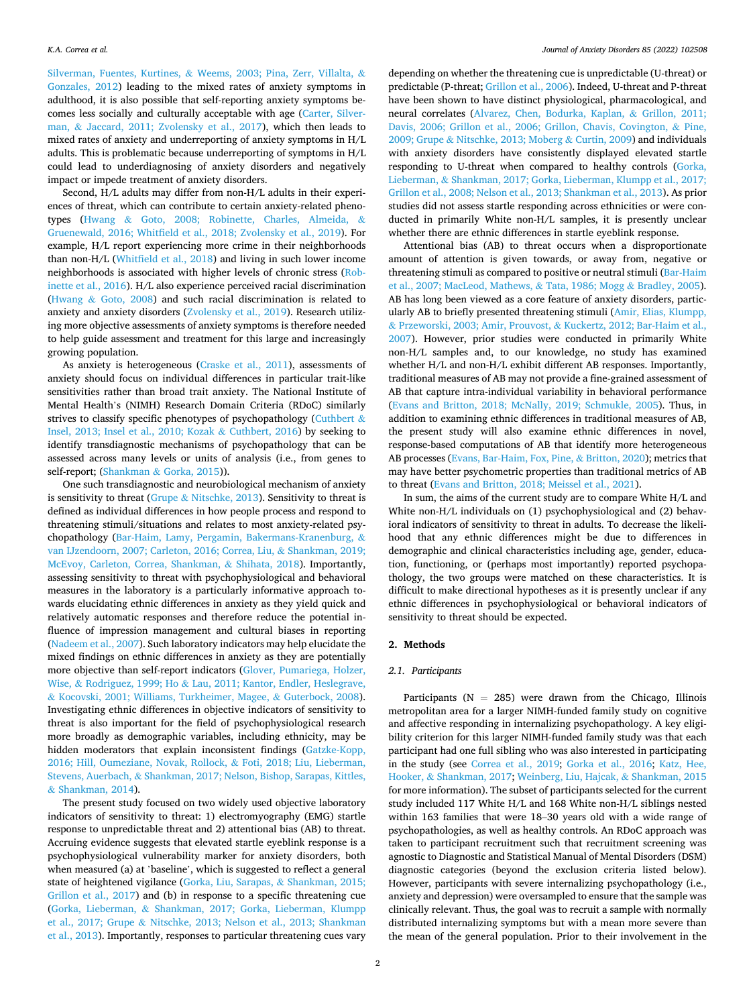Silverman, Fuentes, Kurtines, & [Weems, 2003; Pina, Zerr, Villalta,](#page-9-0) & [Gonzales, 2012](#page-9-0)) leading to the mixed rates of anxiety symptoms in adulthood, it is also possible that self-reporting anxiety symptoms becomes less socially and culturally acceptable with age ([Carter, Silver](#page-8-0)man, & [Jaccard, 2011; Zvolensky et al., 2017\)](#page-8-0), which then leads to mixed rates of anxiety and underreporting of anxiety symptoms in H/L adults. This is problematic because underreporting of symptoms in H/L could lead to underdiagnosing of anxiety disorders and negatively impact or impede treatment of anxiety disorders.

Second, H/L adults may differ from non-H/L adults in their experiences of threat, which can contribute to certain anxiety-related phenotypes (Hwang & [Goto, 2008; Robinette, Charles, Almeida,](#page-8-0) & [Gruenewald, 2016; Whitfield et al., 2018; Zvolensky et al., 2019\)](#page-8-0). For example, H/L report experiencing more crime in their neighborhoods than non-H/L ([Whitfield et al., 2018](#page-10-0)) and living in such lower income neighborhoods is associated with higher levels of chronic stress [\(Rob](#page-9-0)[inette et al., 2016\)](#page-9-0). H/L also experience perceived racial discrimination (Hwang & [Goto, 2008\)](#page-8-0) and such racial discrimination is related to anxiety and anxiety disorders ([Zvolensky et al., 2019](#page-10-0)). Research utilizing more objective assessments of anxiety symptoms is therefore needed to help guide assessment and treatment for this large and increasingly growing population.

As anxiety is heterogeneous ([Craske et al., 2011\)](#page-8-0), assessments of anxiety should focus on individual differences in particular trait-like sensitivities rather than broad trait anxiety. The National Institute of Mental Health's (NIMH) Research Domain Criteria (RDoC) similarly strives to classify specific phenotypes of psychopathology ([Cuthbert](#page-8-0)  $\&$ [Insel, 2013; Insel et al., 2010; Kozak](#page-8-0) & Cuthbert, 2016) by seeking to identify transdiagnostic mechanisms of psychopathology that can be assessed across many levels or units of analysis (i.e., from genes to self-report; (Shankman & [Gorka, 2015](#page-9-0))).

One such transdiagnostic and neurobiological mechanism of anxiety is sensitivity to threat (Grupe  $\&$  [Nitschke, 2013](#page-8-0)). Sensitivity to threat is defined as individual differences in how people process and respond to threatening stimuli/situations and relates to most anxiety-related psychopathology ([Bar-Haim, Lamy, Pergamin, Bakermans-Kranenburg,](#page-7-0) & [van IJzendoorn, 2007; Carleton, 2016; Correa, Liu,](#page-7-0) & Shankman, 2019; [McEvoy, Carleton, Correa, Shankman,](#page-7-0) & Shihata, 2018). Importantly, assessing sensitivity to threat with psychophysiological and behavioral measures in the laboratory is a particularly informative approach towards elucidating ethnic differences in anxiety as they yield quick and relatively automatic responses and therefore reduce the potential influence of impression management and cultural biases in reporting ([Nadeem et al., 2007\)](#page-9-0). Such laboratory indicators may help elucidate the mixed findings on ethnic differences in anxiety as they are potentially more objective than self-report indicators ([Glover, Pumariega, Holzer,](#page-8-0)  Wise, & Rodriguez, 1999; Ho & [Lau, 2011; Kantor, Endler, Heslegrave,](#page-8-0)  & [Kocovski, 2001; Williams, Turkheimer, Magee,](#page-8-0) & Guterbock, 2008). Investigating ethnic differences in objective indicators of sensitivity to threat is also important for the field of psychophysiological research more broadly as demographic variables, including ethnicity, may be hidden moderators that explain inconsistent findings [\(Gatzke-Kopp,](#page-8-0)  [2016; Hill, Oumeziane, Novak, Rollock,](#page-8-0) & Foti, 2018; Liu, Lieberman, Stevens, Auerbach, & [Shankman, 2017; Nelson, Bishop, Sarapas, Kittles,](#page-8-0)  & [Shankman, 2014\)](#page-8-0).

The present study focused on two widely used objective laboratory indicators of sensitivity to threat: 1) electromyography (EMG) startle response to unpredictable threat and 2) attentional bias (AB) to threat. Accruing evidence suggests that elevated startle eyeblink response is a psychophysiological vulnerability marker for anxiety disorders, both when measured (a) at 'baseline', which is suggested to reflect a general state of heightened vigilance ([Gorka, Liu, Sarapas,](#page-8-0) & Shankman, 2015; [Grillon et al., 2017\)](#page-8-0) and (b) in response to a specific threatening cue (Gorka, Lieberman, & [Shankman, 2017; Gorka, Lieberman, Klumpp](#page-8-0)  et al., 2017; Grupe & [Nitschke, 2013; Nelson et al., 2013; Shankman](#page-8-0)  [et al., 2013](#page-8-0)). Importantly, responses to particular threatening cues vary

depending on whether the threatening cue is unpredictable (U-threat) or predictable (P-threat; [Grillon et al., 2006\)](#page-8-0). Indeed, U-threat and P-threat have been shown to have distinct physiological, pharmacological, and neural correlates [\(Alvarez, Chen, Bodurka, Kaplan,](#page-7-0) & Grillon, 2011; [Davis, 2006; Grillon et al., 2006; Grillon, Chavis, Covington,](#page-7-0) & Pine, 2009; Grupe & [Nitschke, 2013; Moberg](#page-7-0) & Curtin, 2009) and individuals with anxiety disorders have consistently displayed elevated startle responding to U-threat when compared to healthy controls [\(Gorka,](#page-8-0)  Lieberman, & [Shankman, 2017; Gorka, Lieberman, Klumpp et al., 2017;](#page-8-0)  [Grillon et al., 2008; Nelson et al., 2013; Shankman et al., 2013\)](#page-8-0). As prior studies did not assess startle responding across ethnicities or were conducted in primarily White non-H/L samples, it is presently unclear whether there are ethnic differences in startle eyeblink response.

Attentional bias (AB) to threat occurs when a disproportionate amount of attention is given towards, or away from, negative or threatening stimuli as compared to positive or neutral stimuli ([Bar-Haim](#page-7-0)  [et al., 2007; MacLeod, Mathews,](#page-7-0) & Tata, 1986; Mogg & Bradley, 2005). AB has long been viewed as a core feature of anxiety disorders, particularly AB to briefly presented threatening stimuli ([Amir, Elias, Klumpp,](#page-7-0)  & [Przeworski, 2003; Amir, Prouvost,](#page-7-0) & Kuckertz, 2012; Bar-Haim et al., [2007\)](#page-7-0). However, prior studies were conducted in primarily White non-H/L samples and, to our knowledge, no study has examined whether H/L and non-H/L exhibit different AB responses. Importantly, traditional measures of AB may not provide a fine-grained assessment of AB that capture intra-individual variability in behavioral performance ([Evans and Britton, 2018; McNally, 2019; Schmukle, 2005\)](#page-8-0). Thus, in addition to examining ethnic differences in traditional measures of AB, the present study will also examine ethnic differences in novel, response-based computations of AB that identify more heterogeneous AB processes [\(Evans, Bar-Haim, Fox, Pine,](#page-8-0) & Britton, 2020); metrics that may have better psychometric properties than traditional metrics of AB to threat [\(Evans and Britton, 2018; Meissel et al., 2021](#page-8-0)).

In sum, the aims of the current study are to compare White H/L and White non-H/L individuals on (1) psychophysiological and (2) behavioral indicators of sensitivity to threat in adults. To decrease the likelihood that any ethnic differences might be due to differences in demographic and clinical characteristics including age, gender, education, functioning, or (perhaps most importantly) reported psychopathology, the two groups were matched on these characteristics. It is difficult to make directional hypotheses as it is presently unclear if any ethnic differences in psychophysiological or behavioral indicators of sensitivity to threat should be expected.

# **2. Methods**

## *2.1. Participants*

Participants ( $N = 285$ ) were drawn from the Chicago, Illinois metropolitan area for a larger NIMH-funded family study on cognitive and affective responding in internalizing psychopathology. A key eligibility criterion for this larger NIMH-funded family study was that each participant had one full sibling who was also interested in participating in the study (see [Correa et al., 2019;](#page-8-0) [Gorka et al., 2016;](#page-8-0) [Katz, Hee,](#page-9-0)  Hooker, & [Shankman, 2017](#page-9-0); [Weinberg, Liu, Hajcak,](#page-10-0) & Shankman, 2015 for more information). The subset of participants selected for the current study included 117 White H/L and 168 White non-H/L siblings nested within 163 families that were 18–30 years old with a wide range of psychopathologies, as well as healthy controls. An RDoC approach was taken to participant recruitment such that recruitment screening was agnostic to Diagnostic and Statistical Manual of Mental Disorders (DSM) diagnostic categories (beyond the exclusion criteria listed below). However, participants with severe internalizing psychopathology (i.e., anxiety and depression) were oversampled to ensure that the sample was clinically relevant. Thus, the goal was to recruit a sample with normally distributed internalizing symptoms but with a mean more severe than the mean of the general population. Prior to their involvement in the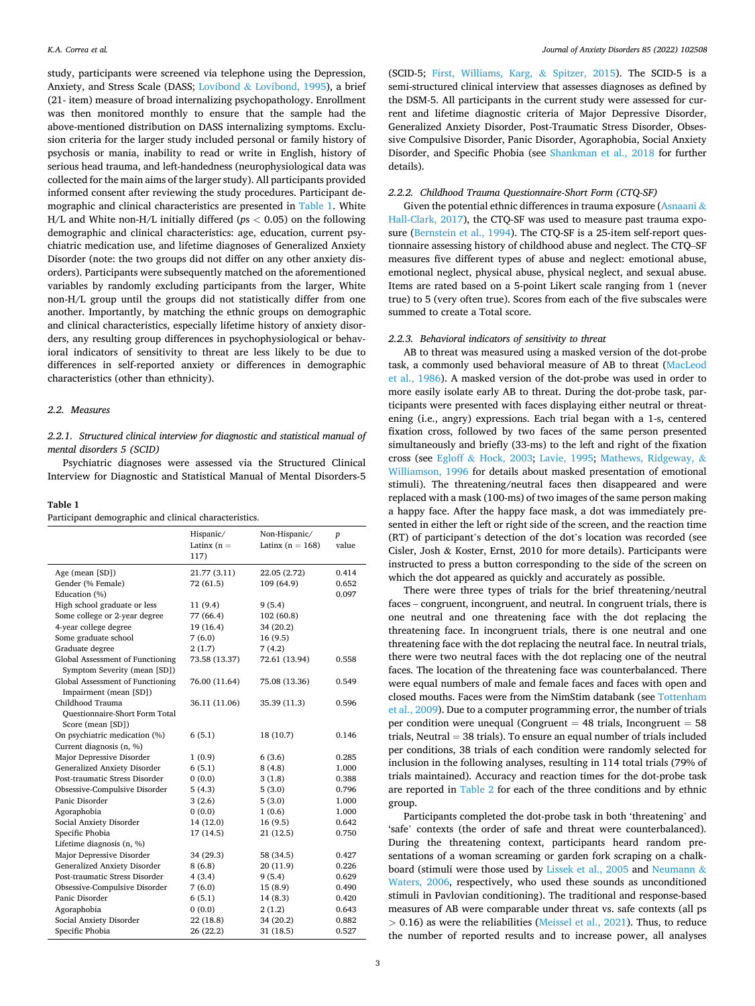study, participants were screened via telephone using the Depression, Anxiety, and Stress Scale (DASS; Lovibond & [Lovibond, 1995](#page-9-0)), a brief (21- item) measure of broad internalizing psychopathology. Enrollment was then monitored monthly to ensure that the sample had the above-mentioned distribution on DASS internalizing symptoms. Exclusion criteria for the larger study included personal or family history of psychosis or mania, inability to read or write in English, history of serious head trauma, and left-handedness (neurophysiological data was collected for the main aims of the larger study). All participants provided informed consent after reviewing the study procedures. Participant demographic and clinical characteristics are presented in Table 1. White H/L and White non-H/L initially differed (*p*s *<* 0.05) on the following demographic and clinical characteristics: age, education, current psychiatric medication use, and lifetime diagnoses of Generalized Anxiety Disorder (note: the two groups did not differ on any other anxiety disorders). Participants were subsequently matched on the aforementioned variables by randomly excluding participants from the larger, White non-H/L group until the groups did not statistically differ from one another. Importantly, by matching the ethnic groups on demographic and clinical characteristics, especially lifetime history of anxiety disorders, any resulting group differences in psychophysiological or behavioral indicators of sensitivity to threat are less likely to be due to differences in self-reported anxiety or differences in demographic characteristics (other than ethnicity).

## *2.2. Measures*

# *2.2.1. Structured clinical interview for diagnostic and statistical manual of mental disorders 5 (SCID)*

Psychiatric diagnoses were assessed via the Structured Clinical Interview for Diagnostic and Statistical Manual of Mental Disorders-5

| anı<br><br>п |  |
|--------------|--|
|--------------|--|

| Participant demographic and clinical characteristics. |  |  |
|-------------------------------------------------------|--|--|
|-------------------------------------------------------|--|--|

|                                                                  | Hispanic/<br>Latinx $(n =$<br>117) | Non-Hispanic/<br>Latinx ( $n = 168$ ) | $\boldsymbol{p}$<br>value |
|------------------------------------------------------------------|------------------------------------|---------------------------------------|---------------------------|
| Age (mean [SD])                                                  | 21.77 (3.11)                       | 22.05 (2.72)                          | 0.414                     |
| Gender (% Female)                                                | 72 (61.5)                          | 109 (64.9)                            | 0.652                     |
| Education (%)                                                    |                                    |                                       | 0.097                     |
| High school graduate or less                                     | 11(9.4)                            | 9(5.4)                                |                           |
| Some college or 2-year degree                                    | 77 (66.4)                          | 102 (60.8)                            |                           |
| 4-year college degree                                            | 19 (16.4)                          | 34 (20.2)                             |                           |
| Some graduate school                                             | 7(6.0)                             | 16(9.5)                               |                           |
| Graduate degree                                                  | 2(1.7)                             | 7(4.2)                                |                           |
| Global Assessment of Functioning<br>Symptom Severity (mean [SD]) | 73.58 (13.37)                      | 72.61 (13.94)                         | 0.558                     |
| Global Assessment of Functioning                                 | 76.00 (11.64)                      | 75.08 (13.36)                         | 0.549                     |
| Impairment (mean [SD])                                           |                                    |                                       |                           |
| Childhood Trauma                                                 | 36.11 (11.06)                      | 35.39 (11.3)                          | 0.596                     |
| <b>Questionnaire-Short Form Total</b><br>Score (mean [SD])       |                                    |                                       |                           |
| On psychiatric medication (%)                                    | 6(5.1)                             | 18 (10.7)                             | 0.146                     |
| Current diagnosis (n, %)                                         |                                    |                                       |                           |
| Major Depressive Disorder                                        | 1(0.9)                             | 6(3.6)                                | 0.285                     |
| <b>Generalized Anxiety Disorder</b>                              | 6(5.1)                             | 8(4.8)                                | 1.000                     |
| Post-traumatic Stress Disorder                                   | 0(0.0)                             | 3(1.8)                                | 0.388                     |
| Obsessive-Compulsive Disorder                                    | 5(4.3)                             | 5(3.0)                                | 0.796                     |
| Panic Disorder                                                   | 3(2.6)                             | 5(3.0)                                | 1.000                     |
| Agoraphobia                                                      | 0(0.0)                             | 1(0.6)                                | 1.000                     |
| Social Anxiety Disorder                                          | 14 (12.0)                          | 16(9.5)                               | 0.642                     |
| Specific Phobia                                                  | 17 (14.5)                          | 21 (12.5)                             | 0.750                     |
| Lifetime diagnosis (n, %)                                        |                                    |                                       |                           |
| Major Depressive Disorder                                        | 34 (29.3)                          | 58 (34.5)                             | 0.427                     |
| Generalized Anxiety Disorder                                     | 8(6.8)                             | 20 (11.9)                             | 0.226                     |
| Post-traumatic Stress Disorder                                   | 4(3.4)                             | 9(5.4)                                | 0.629                     |
| Obsessive-Compulsive Disorder                                    | 7(6.0)                             | 15(8.9)                               | 0.490                     |
| Panic Disorder                                                   | 6(5.1)                             | 14(8.3)                               | 0.420                     |
| Agoraphobia                                                      | 0(0.0)                             | 2(1.2)                                | 0.643                     |
| Social Anxiety Disorder                                          | 22 (18.8)                          | 34 (20.2)                             | 0.882                     |
| Specific Phobia                                                  | 26 (22.2)                          | 31(18.5)                              | 0.527                     |

(SCID-5; [First, Williams, Karg,](#page-8-0) & Spitzer, 2015). The SCID-5 is a semi-structured clinical interview that assesses diagnoses as defined by the DSM-5. All participants in the current study were assessed for current and lifetime diagnostic criteria of Major Depressive Disorder, Generalized Anxiety Disorder, Post-Traumatic Stress Disorder, Obsessive Compulsive Disorder, Panic Disorder, Agoraphobia, Social Anxiety Disorder, and Specific Phobia (see [Shankman et al., 2018](#page-9-0) for further details).

## *2.2.2. Childhood Trauma Questionnaire-Short Form (CTQ-SF)*

Given the potential ethnic differences in trauma exposure ([Asnaani](#page-7-0) & [Hall-Clark, 2017](#page-7-0)), the CTQ-SF was used to measure past trauma exposure ([Bernstein et al., 1994](#page-7-0)). The CTQ-SF is a 25-item self-report questionnaire assessing history of childhood abuse and neglect. The CTQ–SF measures five different types of abuse and neglect: emotional abuse, emotional neglect, physical abuse, physical neglect, and sexual abuse. Items are rated based on a 5-point Likert scale ranging from 1 (never true) to 5 (very often true). Scores from each of the five subscales were summed to create a Total score.

#### *2.2.3. Behavioral indicators of sensitivity to threat*

AB to threat was measured using a masked version of the dot-probe task, a commonly used behavioral measure of AB to threat ([MacLeod](#page-9-0)  [et al., 1986\)](#page-9-0). A masked version of the dot-probe was used in order to more easily isolate early AB to threat. During the dot-probe task, participants were presented with faces displaying either neutral or threatening (i.e., angry) expressions. Each trial began with a 1-s, centered fixation cross, followed by two faces of the same person presented simultaneously and briefly (33-ms) to the left and right of the fixation cross (see Egloff & [Hock, 2003](#page-8-0); [Lavie, 1995](#page-9-0); [Mathews, Ridgeway,](#page-9-0) & [Williamson, 1996](#page-9-0) for details about masked presentation of emotional stimuli). The threatening/neutral faces then disappeared and were replaced with a mask (100-ms) of two images of the same person making a happy face. After the happy face mask, a dot was immediately presented in either the left or right side of the screen, and the reaction time (RT) of participant's detection of the dot's location was recorded (see Cisler, Josh & Koster, Ernst, 2010 for more details). Participants were instructed to press a button corresponding to the side of the screen on which the dot appeared as quickly and accurately as possible.

There were three types of trials for the brief threatening/neutral faces – congruent, incongruent, and neutral. In congruent trials, there is one neutral and one threatening face with the dot replacing the threatening face. In incongruent trials, there is one neutral and one threatening face with the dot replacing the neutral face. In neutral trials, there were two neutral faces with the dot replacing one of the neutral faces. The location of the threatening face was counterbalanced. There were equal numbers of male and female faces and faces with open and closed mouths. Faces were from the NimStim databank (see [Tottenham](#page-10-0)  [et al., 2009](#page-10-0)). Due to a computer programming error, the number of trials per condition were unequal (Congruent  $= 48$  trials, Incongruent  $= 58$ trials, Neutral = 38 trials). To ensure an equal number of trials included per conditions, 38 trials of each condition were randomly selected for inclusion in the following analyses, resulting in 114 total trials (79% of trials maintained). Accuracy and reaction times for the dot-probe task are reported in [Table 2](#page-3-0) for each of the three conditions and by ethnic group.

Participants completed the dot-probe task in both 'threatening' and 'safe' contexts (the order of safe and threat were counterbalanced). During the threatening context, participants heard random presentations of a woman screaming or garden fork scraping on a chalkboard (stimuli were those used by [Lissek et al., 2005](#page-9-0) and [Neumann](#page-9-0) & [Waters, 2006,](#page-9-0) respectively, who used these sounds as unconditioned stimuli in Pavlovian conditioning). The traditional and response-based measures of AB were comparable under threat vs. safe contexts (all ps *>* 0.16) as were the reliabilities [\(Meissel et al., 2021\)](#page-9-0). Thus, to reduce the number of reported results and to increase power, all analyses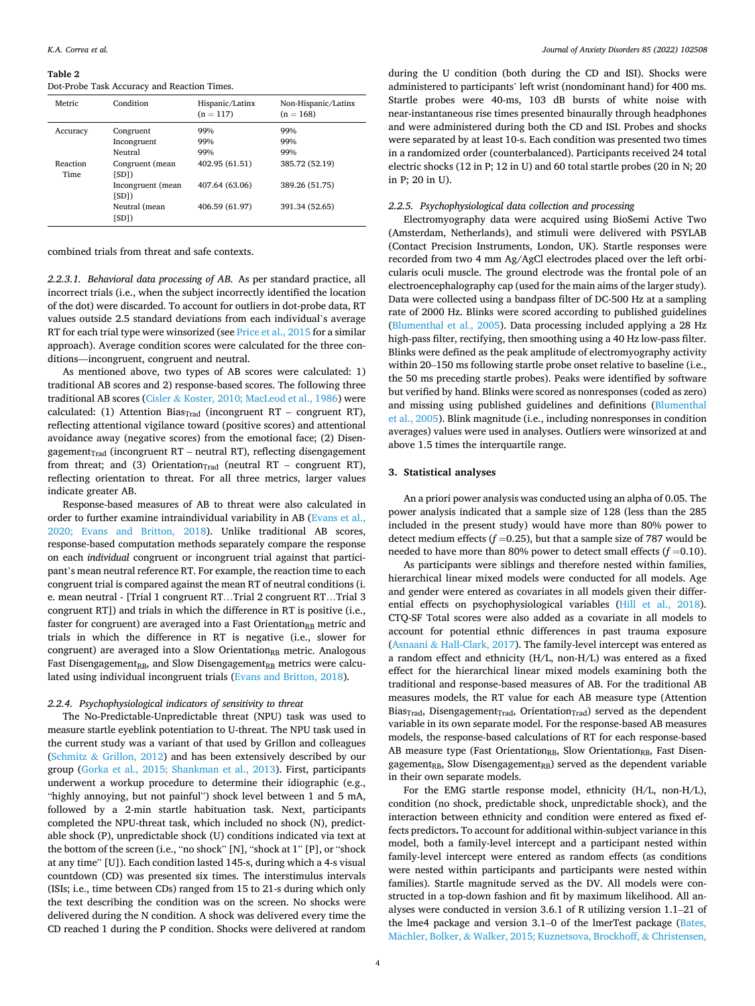#### <span id="page-3-0"></span>**Table 2**

Dot-Probe Task Accuracy and Reaction Times.

| Metric                  | Condition                           | Hispanic/Latinx<br>$(n = 117)$ | Non-Hispanic/Latinx<br>$(n = 168)$ |
|-------------------------|-------------------------------------|--------------------------------|------------------------------------|
| Accuracy                | Congruent<br>Incongruent<br>Neutral | 99%<br>99%<br>99%              | 99%<br>99%<br>99%                  |
| Reaction<br><b>Time</b> | Congruent (mean<br>[SD])            | 402.95 (61.51)                 | 385.72 (52.19)                     |
|                         | Incongruent (mean<br>[SD])          | 407.64 (63.06)                 | 389.26 (51.75)                     |
|                         | Neutral (mean<br>[SD])              | 406.59 (61.97)                 | 391.34 (52.65)                     |

combined trials from threat and safe contexts.

*2.2.3.1. Behavioral data processing of AB.* As per standard practice, all incorrect trials (i.e., when the subject incorrectly identified the location of the dot) were discarded. To account for outliers in dot-probe data, RT values outside 2.5 standard deviations from each individual's average RT for each trial type were winsorized (see [Price et al., 2015](#page-9-0) for a similar approach). Average condition scores were calculated for the three conditions—incongruent, congruent and neutral.

As mentioned above, two types of AB scores were calculated: 1) traditional AB scores and 2) response-based scores. The following three traditional AB scores (Cisler & [Koster, 2010; MacLeod et al., 1986\)](#page-8-0) were calculated: (1) Attention Bias $_{\text{Trad}}$  (incongruent RT – congruent RT), reflecting attentional vigilance toward (positive scores) and attentional avoidance away (negative scores) from the emotional face; (2) Disengagement $_{\text{Trad}}$  (incongruent RT – neutral RT), reflecting disengagement from threat; and (3) Orientation $_{\text{Trad}}$  (neutral RT – congruent RT), reflecting orientation to threat. For all three metrics, larger values indicate greater AB.

Response-based measures of AB to threat were also calculated in order to further examine intraindividual variability in AB ([Evans et al.,](#page-8-0)  [2020; Evans and Britton, 2018\)](#page-8-0). Unlike traditional AB scores, response-based computation methods separately compare the response on each *individual* congruent or incongruent trial against that participant's mean neutral reference RT. For example, the reaction time to each congruent trial is compared against the mean RT of neutral conditions (i. e. mean neutral - [Trial 1 congruent RT…Trial 2 congruent RT…Trial 3 congruent RT]) and trials in which the difference in RT is positive (i.e., faster for congruent) are averaged into a Fast Orientation<sub>RB</sub> metric and trials in which the difference in RT is negative (i.e., slower for congruent) are averaged into a Slow Orientation<sub>RB</sub> metric. Analogous Fast Disengagement<sub>RB</sub>, and Slow Disengagement<sub>RB</sub> metrics were calculated using individual incongruent trials [\(Evans and Britton, 2018\)](#page-8-0).

## *2.2.4. Psychophysiological indicators of sensitivity to threat*

The No-Predictable-Unpredictable threat (NPU) task was used to measure startle eyeblink potentiation to U-threat. The NPU task used in the current study was a variant of that used by Grillon and colleagues (Schmitz & [Grillon, 2012\)](#page-9-0) and has been extensively described by our group [\(Gorka et al., 2015; Shankman et al., 2013](#page-8-0)). First, participants underwent a workup procedure to determine their idiographic (e.g., "highly annoying, but not painful") shock level between 1 and 5 mA, followed by a 2-min startle habituation task. Next, participants completed the NPU-threat task, which included no shock (N), predictable shock (P), unpredictable shock (U) conditions indicated via text at the bottom of the screen (i.e., "no shock" [N], "shock at 1" [P], or "shock at any time" [U]). Each condition lasted 145-s, during which a 4-s visual countdown (CD) was presented six times. The interstimulus intervals (ISIs; i.e., time between CDs) ranged from 15 to 21-s during which only the text describing the condition was on the screen. No shocks were delivered during the N condition. A shock was delivered every time the CD reached 1 during the P condition. Shocks were delivered at random

during the U condition (both during the CD and ISI). Shocks were administered to participants' left wrist (nondominant hand) for 400 ms. Startle probes were 40-ms, 103 dB bursts of white noise with near-instantaneous rise times presented binaurally through headphones and were administered during both the CD and ISI. Probes and shocks were separated by at least 10-s. Each condition was presented two times in a randomized order (counterbalanced). Participants received 24 total electric shocks (12 in P; 12 in U) and 60 total startle probes (20 in N; 20 in P; 20 in U).

## *2.2.5. Psychophysiological data collection and processing*

Electromyography data were acquired using BioSemi Active Two (Amsterdam, Netherlands), and stimuli were delivered with PSYLAB (Contact Precision Instruments, London, UK). Startle responses were recorded from two 4 mm Ag/AgCl electrodes placed over the left orbicularis oculi muscle. The ground electrode was the frontal pole of an electroencephalography cap (used for the main aims of the larger study). Data were collected using a bandpass filter of DC-500 Hz at a sampling rate of 2000 Hz. Blinks were scored according to published guidelines ([Blumenthal et al., 2005\)](#page-7-0). Data processing included applying a 28 Hz high-pass filter, rectifying, then smoothing using a 40 Hz low-pass filter. Blinks were defined as the peak amplitude of electromyography activity within 20–150 ms following startle probe onset relative to baseline (i.e., the 50 ms preceding startle probes). Peaks were identified by software but verified by hand. Blinks were scored as nonresponses (coded as zero) and missing using published guidelines and definitions [\(Blumenthal](#page-7-0)  [et al., 2005\)](#page-7-0). Blink magnitude (i.e., including nonresponses in condition averages) values were used in analyses. Outliers were winsorized at and above 1.5 times the interquartile range.

# **3. Statistical analyses**

An a priori power analysis was conducted using an alpha of 0.05. The power analysis indicated that a sample size of 128 (less than the 285 included in the present study) would have more than 80% power to detect medium effects  $(f=0.25)$ , but that a sample size of 787 would be needed to have more than 80% power to detect small effects  $(f=0.10)$ .

As participants were siblings and therefore nested within families, hierarchical linear mixed models were conducted for all models. Age and gender were entered as covariates in all models given their differential effects on psychophysiological variables ([Hill et al., 2018](#page-8-0)). CTQ-SF Total scores were also added as a covariate in all models to account for potential ethnic differences in past trauma exposure (Asnaani & [Hall-Clark, 2017](#page-7-0)). The family-level intercept was entered as a random effect and ethnicity (H/L, non-H/L) was entered as a fixed effect for the hierarchical linear mixed models examining both the traditional and response-based measures of AB. For the traditional AB measures models, the RT value for each AB measure type (Attention Bias<sub>Trad</sub>, Disengagement<sub>Trad</sub>, Orientation<sub>Trad</sub>) served as the dependent variable in its own separate model. For the response-based AB measures models, the response-based calculations of RT for each response-based AB measure type (Fast OrientationRB, Slow OrientationRB, Fast Disengagement<sub>RB</sub>, Slow Disengagement<sub>RB</sub>) served as the dependent variable in their own separate models.

For the EMG startle response model, ethnicity (H/L, non-H/L), condition (no shock, predictable shock, unpredictable shock), and the interaction between ethnicity and condition were entered as fixed effects predictors**.** To account for additional within-subject variance in this model, both a family-level intercept and a participant nested within family-level intercept were entered as random effects (as conditions were nested within participants and participants were nested within families). Startle magnitude served as the DV. All models were constructed in a top-down fashion and fit by maximum likelihood. All analyses were conducted in version 3.6.1 of R utilizing version 1.1–21 of the lme4 package and version 3.1–0 of the lmerTest package ([Bates,](#page-7-0)  Mächler, Bolker, & [Walker, 2015; Kuznetsova, Brockhoff,](#page-7-0) & Christensen,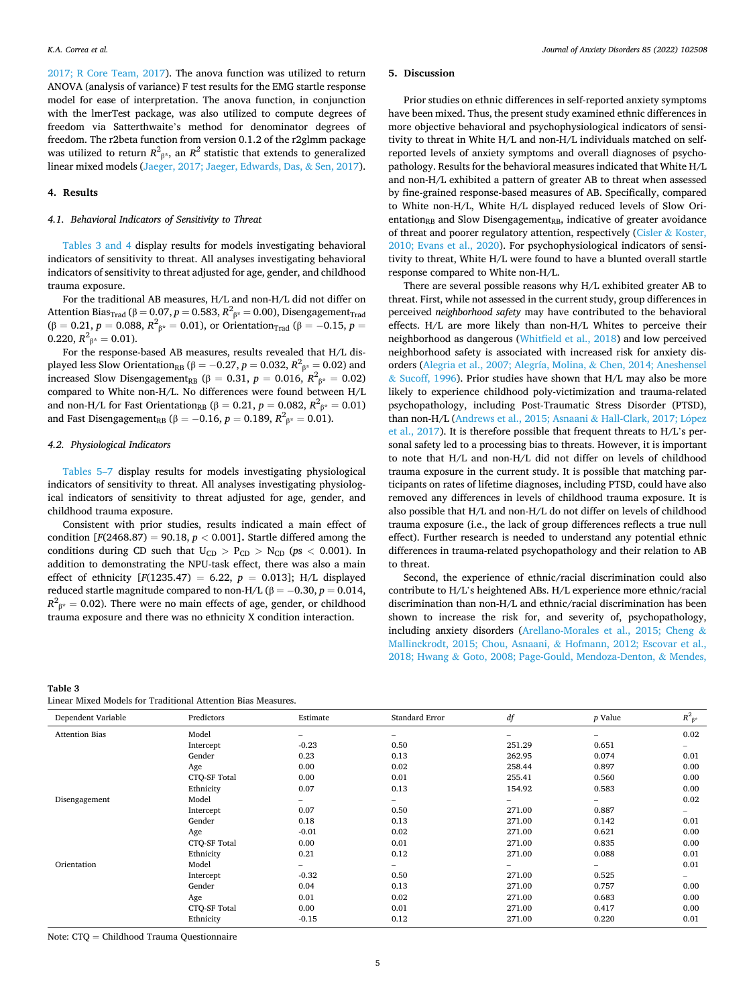[2017; R Core Team, 2017\)](#page-7-0). The anova function was utilized to return ANOVA (analysis of variance) F test results for the EMG startle response model for ease of interpretation. The anova function, in conjunction with the lmerTest package, was also utilized to compute degrees of freedom via Satterthwaite's method for denominator degrees of freedom. The r2beta function from version 0.1.2 of the r2glmm package was utilized to return  $R^2_{\ \beta^*}$ , an  $R^2$  statistic that extends to generalized linear mixed models [\(Jaeger, 2017; Jaeger, Edwards, Das,](#page-8-0) & Sen, 2017).

## **4. Results**

## *4.1. Behavioral Indicators of Sensitivity to Threat*

Tables 3 and 4 display results for models investigating behavioral indicators of sensitivity to threat. All analyses investigating behavioral indicators of sensitivity to threat adjusted for age, gender, and childhood trauma exposure.

For the traditional AB measures, H/L and non-H/L did not differ on Attention Bias $_{\rm Trad}$  (β  $=$  0.07,  $p$   $=$  0.583,  $R^2$ <sub>β\*</sub>  $=$  0.00), Disengagement $_{\rm Trad}$ (β = 0.21,  $p=$  0.088,  $R^2_{\phantom{2}\beta^*}=$  0.01), or Orientation<sub>Trad</sub> (β =  $-0.15,$   $p=$  $0.220, R^2_{\beta^*} = 0.01$ ).

For the response-based AB measures, results revealed that H/L displayed less Slow Orientation<sub>RB</sub> (β =  $-0.27$ , *p* = 0.032,  $R^2$ <sub>β\*</sub> = 0.02) and increased Slow Disengagement<sub>RB</sub> (β = 0.31, *p* = 0.016,  $R^2_{\beta^*}$  = 0.02) compared to White non-H/L. No differences were found between H/L and non-H/L for Fast Orientation<sub>RB</sub> (β = 0.21,  $p = 0.082$ ,  $R^2_{\beta^*} = 0.01$ ) and Fast Disengagement<sub>RB</sub> (β = -0.16, *p* = 0.189,  $R^2_{\ \beta^*}$  = 0.01).

## *4.2. Physiological Indicators*

[Tables 5](#page-5-0)–7 display results for models investigating physiological indicators of sensitivity to threat. All analyses investigating physiological indicators of sensitivity to threat adjusted for age, gender, and childhood trauma exposure.

Consistent with prior studies, results indicated a main effect of condition  $[F(2468.87) = 90.18, p < 0.001]$ . Startle differed among the conditions during CD such that  $U_{CD} > P_{CD} > N_{CD}$  ( $ps < 0.001$ ). In addition to demonstrating the NPU-task effect, there was also a main effect of ethnicity [*F*(1235.47) = 6.22, *p* = 0.013]; H/L displayed reduced startle magnitude compared to non-H/L ( $β = −0.30, p = 0.014,$  $R^2_{\ \beta^*} = 0.02$ ). There were no main effects of age, gender, or childhood trauma exposure and there was no ethnicity X condition interaction.

# **Table 3**

|  |  | Linear Mixed Models for Traditional Attention Bias Measures. |  |  |
|--|--|--------------------------------------------------------------|--|--|
|  |  |                                                              |  |  |

## **5. Discussion**

Prior studies on ethnic differences in self-reported anxiety symptoms have been mixed. Thus, the present study examined ethnic differences in more objective behavioral and psychophysiological indicators of sensitivity to threat in White H/L and non-H/L individuals matched on selfreported levels of anxiety symptoms and overall diagnoses of psychopathology. Results for the behavioral measures indicated that White H/L and non-H/L exhibited a pattern of greater AB to threat when assessed by fine-grained response-based measures of AB. Specifically, compared to White non-H/L, White H/L displayed reduced levels of Slow Orientation<sub>RB</sub> and Slow Disengagement<sub>RB</sub>, indicative of greater avoidance of threat and poorer regulatory attention, respectively (Cisler & [Koster,](#page-8-0)  [2010; Evans et al., 2020\)](#page-8-0). For psychophysiological indicators of sensitivity to threat, White H/L were found to have a blunted overall startle response compared to White non-H/L.

There are several possible reasons why H/L exhibited greater AB to threat. First, while not assessed in the current study, group differences in perceived *neighborhood safety* may have contributed to the behavioral effects. H/L are more likely than non-H/L Whites to perceive their neighborhood as dangerous [\(Whitfield et al., 2018\)](#page-10-0) and low perceived neighborhood safety is associated with increased risk for anxiety disorders ([Alegria et al., 2007; Alegría, Molina,](#page-7-0) & Chen, 2014; Aneshensel & [Sucoff, 1996](#page-7-0)). Prior studies have shown that H/L may also be more likely to experience childhood poly-victimization and trauma-related psychopathology, including Post-Traumatic Stress Disorder (PTSD), than non-H/L [\(Andrews et al., 2015; Asnaani](#page-7-0) & Hall-Clark, 2017; López [et al., 2017](#page-7-0)). It is therefore possible that frequent threats to H/L's personal safety led to a processing bias to threats. However, it is important to note that H/L and non-H/L did not differ on levels of childhood trauma exposure in the current study. It is possible that matching participants on rates of lifetime diagnoses, including PTSD, could have also removed any differences in levels of childhood trauma exposure. It is also possible that H/L and non-H/L do not differ on levels of childhood trauma exposure (i.e., the lack of group differences reflects a true null effect). Further research is needed to understand any potential ethnic differences in trauma-related psychopathology and their relation to AB to threat.

Second, the experience of ethnic/racial discrimination could also contribute to H/L's heightened ABs. H/L experience more ethnic/racial discrimination than non-H/L and ethnic/racial discrimination has been shown to increase the risk for, and severity of, psychopathology, including anxiety disorders [\(Arellano-Morales et al., 2015; Cheng](#page-7-0) & [Mallinckrodt, 2015; Chou, Asnaani,](#page-7-0) & Hofmann, 2012; Escovar et al., 2018; Hwang & [Goto, 2008; Page-Gould, Mendoza-Denton,](#page-7-0) & Mendes,

| Dependent Variable    | Predictors   | Estimate                 | <b>Standard Error</b>    | df                       | p Value                  | $R^2_{\ \beta^*}$ |
|-----------------------|--------------|--------------------------|--------------------------|--------------------------|--------------------------|-------------------|
| <b>Attention Bias</b> | Model        | $\overline{\phantom{0}}$ | $\overline{\phantom{0}}$ | -                        | $\overline{\phantom{0}}$ | 0.02              |
|                       | Intercept    | $-0.23$                  | 0.50                     | 251.29                   | 0.651                    | $\qquad \qquad -$ |
|                       | Gender       | 0.23                     | 0.13                     | 262.95                   | 0.074                    | 0.01              |
|                       | Age          | 0.00                     | 0.02                     | 258.44                   | 0.897                    | 0.00              |
|                       | CTQ-SF Total | 0.00                     | 0.01                     | 255.41                   | 0.560                    | 0.00              |
|                       | Ethnicity    | 0.07                     | 0.13                     | 154.92                   | 0.583                    | 0.00              |
| Disengagement         | Model        | -                        | $-$                      | -                        | $\overline{\phantom{0}}$ | 0.02              |
|                       | Intercept    | 0.07                     | 0.50                     | 271.00                   | 0.887                    | $\qquad \qquad -$ |
|                       | Gender       | 0.18                     | 0.13                     | 271.00                   | 0.142                    | 0.01              |
|                       | Age          | $-0.01$                  | 0.02                     | 271.00                   | 0.621                    | 0.00              |
|                       | CTQ-SF Total | 0.00                     | 0.01                     | 271.00                   | 0.835                    | 0.00              |
|                       | Ethnicity    | 0.21                     | 0.12                     | 271.00                   | 0.088                    | 0.01              |
| Orientation           | Model        | -                        | Ξ.                       | $\overline{\phantom{0}}$ | $\overline{\phantom{0}}$ | 0.01              |
|                       | Intercept    | $-0.32$                  | 0.50                     | 271.00                   | 0.525                    | $\qquad \qquad -$ |
|                       | Gender       | 0.04                     | 0.13                     | 271.00                   | 0.757                    | 0.00              |
|                       | Age          | 0.01                     | 0.02                     | 271.00                   | 0.683                    | 0.00              |
|                       | CTQ-SF Total | 0.00                     | 0.01                     | 271.00                   | 0.417                    | 0.00              |
|                       | Ethnicity    | $-0.15$                  | 0.12                     | 271.00                   | 0.220                    | 0.01              |

Note: CTQ = Childhood Trauma Questionnaire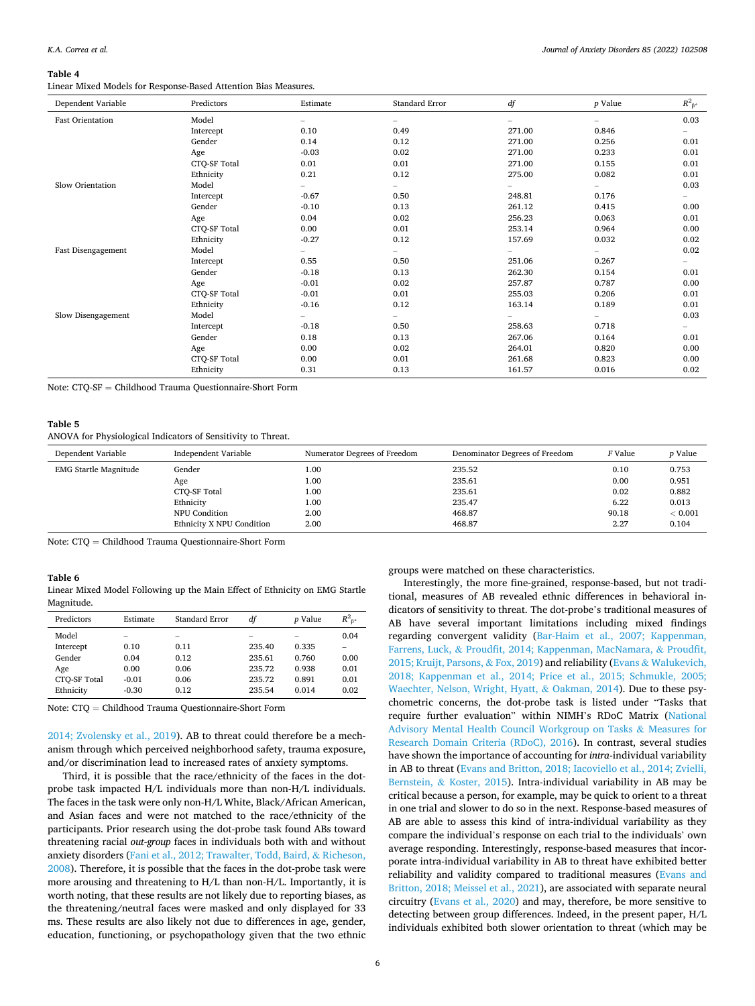#### <span id="page-5-0"></span>**Table 4**

Linear Mixed Models for Response-Based Attention Bias Measures.

| Dependent Variable      | Predictors   | Estimate                 | Standard Error           | df     | $p$ Value                | $R^2_{\ \beta^*}$ |
|-------------------------|--------------|--------------------------|--------------------------|--------|--------------------------|-------------------|
| <b>Fast Orientation</b> | Model        | $\overline{\phantom{0}}$ | -                        |        | $\qquad \qquad -$        | 0.03              |
|                         | Intercept    | 0.10                     | 0.49                     | 271.00 | 0.846                    |                   |
|                         | Gender       | 0.14                     | 0.12                     | 271.00 | 0.256                    | 0.01              |
|                         | Age          | $-0.03$                  | 0.02                     | 271.00 | 0.233                    | 0.01              |
|                         | CTQ-SF Total | 0.01                     | 0.01                     | 271.00 | 0.155                    | 0.01              |
|                         | Ethnicity    | 0.21                     | 0.12                     | 275.00 | 0.082                    | 0.01              |
| Slow Orientation        | Model        |                          | $\overline{\phantom{0}}$ |        | $\overline{\phantom{a}}$ | 0.03              |
|                         | Intercept    | $-0.67$                  | 0.50                     | 248.81 | 0.176                    | -                 |
|                         | Gender       | $-0.10$                  | 0.13                     | 261.12 | 0.415                    | 0.00              |
|                         | Age          | 0.04                     | 0.02                     | 256.23 | 0.063                    | 0.01              |
|                         | CTQ-SF Total | 0.00                     | 0.01                     | 253.14 | 0.964                    | 0.00              |
|                         | Ethnicity    | $-0.27$                  | 0.12                     | 157.69 | 0.032                    | 0.02              |
| Fast Disengagement      | Model        |                          | -                        |        |                          | 0.02              |
|                         | Intercept    | 0.55                     | 0.50                     | 251.06 | 0.267                    | -                 |
|                         | Gender       | $-0.18$                  | 0.13                     | 262.30 | 0.154                    | 0.01              |
|                         | Age          | $-0.01$                  | 0.02                     | 257.87 | 0.787                    | 0.00              |
|                         | CTQ-SF Total | $-0.01$                  | 0.01                     | 255.03 | 0.206                    | 0.01              |
|                         | Ethnicity    | $-0.16$                  | 0.12                     | 163.14 | 0.189                    | 0.01              |
| Slow Disengagement      | Model        |                          | $\overline{\phantom{0}}$ |        | -                        | 0.03              |
|                         | Intercept    | $-0.18$                  | 0.50                     | 258.63 | 0.718                    | -                 |
|                         | Gender       | 0.18                     | 0.13                     | 267.06 | 0.164                    | 0.01              |
|                         | Age          | 0.00                     | 0.02                     | 264.01 | 0.820                    | 0.00              |
|                         | CTQ-SF Total | 0.00                     | 0.01                     | 261.68 | 0.823                    | 0.00              |
|                         | Ethnicity    | 0.31                     | 0.13                     | 161.57 | 0.016                    | 0.02              |

Note: CTQ-SF = Childhood Trauma Questionnaire-Short Form

#### **Table 5**

## ANOVA for Physiological Indicators of Sensitivity to Threat.

| Dependent Variable           | Independent Variable      | Numerator Degrees of Freedom | Denominator Degrees of Freedom | <i>F</i> Value | <i>p</i> Value |
|------------------------------|---------------------------|------------------------------|--------------------------------|----------------|----------------|
| <b>EMG Startle Magnitude</b> | Gender                    | $1.00\,$                     | 235.52                         | 0.10           | 0.753          |
|                              | Age                       | 1.00                         | 235.61                         | 0.00           | 0.951          |
|                              | CTO-SF Total              | 1.00                         | 235.61                         | 0.02           | 0.882          |
|                              | Ethnicity                 | 1.00                         | 235.47                         | 6.22           | 0.013          |
|                              | NPU Condition             | 2.00                         | 468.87                         | 90.18          | < 0.001        |
|                              | Ethnicity X NPU Condition | 2.00                         | 468.87                         | 2.27           | 0.104          |

Note: CTQ = Childhood Trauma Questionnaire-Short Form

#### **Table 6**

Linear Mixed Model Following up the Main Effect of Ethnicity on EMG Startle Magnitude.

| Predictors   | Estimate                 | Standard Error           | df                       | <i>p</i> Value           | $R^2_{\ \beta*}$         |
|--------------|--------------------------|--------------------------|--------------------------|--------------------------|--------------------------|
| Model        | $\overline{\phantom{a}}$ | $\overline{\phantom{a}}$ | $\overline{\phantom{a}}$ | $\overline{\phantom{a}}$ | 0.04                     |
| Intercept    | 0.10                     | 0.11                     | 235.40                   | 0.335                    | $\overline{\phantom{a}}$ |
| Gender       | 0.04                     | 0.12                     | 235.61                   | 0.760                    | 0.00                     |
| Age          | 0.00                     | 0.06                     | 235.72                   | 0.938                    | 0.01                     |
| CTO-SF Total | $-0.01$                  | 0.06                     | 235.72                   | 0.891                    | 0.01                     |
| Ethnicity    | $-0.30$                  | 0.12                     | 235.54                   | 0.014                    | 0.02                     |

Note: CTQ = Childhood Trauma Questionnaire-Short Form

[2014; Zvolensky et al., 2019](#page-7-0)). AB to threat could therefore be a mechanism through which perceived neighborhood safety, trauma exposure, and/or discrimination lead to increased rates of anxiety symptoms.

Third, it is possible that the race/ethnicity of the faces in the dotprobe task impacted H/L individuals more than non-H/L individuals. The faces in the task were only non-H/L White, Black/African American, and Asian faces and were not matched to the race/ethnicity of the participants. Prior research using the dot-probe task found ABs toward threatening racial *out-group* faces in individuals both with and without anxiety disorders [\(Fani et al., 2012; Trawalter, Todd, Baird,](#page-8-0) & Richeson, [2008\)](#page-8-0). Therefore, it is possible that the faces in the dot-probe task were more arousing and threatening to H/L than non-H/L. Importantly, it is worth noting, that these results are not likely due to reporting biases, as the threatening/neutral faces were masked and only displayed for 33 ms. These results are also likely not due to differences in age, gender, education, functioning, or psychopathology given that the two ethnic groups were matched on these characteristics.

Interestingly, the more fine-grained, response-based, but not traditional, measures of AB revealed ethnic differences in behavioral indicators of sensitivity to threat. The dot-probe's traditional measures of AB have several important limitations including mixed findings regarding convergent validity ([Bar-Haim et al., 2007; Kappenman,](#page-7-0)  Farrens, Luck, & [Proudfit, 2014; Kappenman, MacNamara,](#page-7-0) & Proudfit, [2015; Kruijt, Parsons,](#page-7-0) & Fox, 2019) and reliability (Evans & [Walukevich,](#page-8-0)  [2018; Kappenman et al., 2014; Price et al., 2015; Schmukle, 2005;](#page-8-0)  [Waechter, Nelson, Wright, Hyatt,](#page-8-0) & Oakman, 2014). Due to these psychometric concerns, the dot-probe task is listed under "Tasks that require further evaluation" within NIMH's RDoC Matrix [\(National](#page-9-0)  [Advisory Mental Health Council Workgroup on Tasks](#page-9-0) & Measures for [Research Domain Criteria \(RDoC\), 2016](#page-9-0)). In contrast, several studies have shown the importance of accounting for *intra*-individual variability in AB to threat [\(Evans and Britton, 2018; Iacoviello et al., 2014; Zvielli,](#page-8-0)  Bernstein, & [Koster, 2015](#page-8-0)). Intra-individual variability in AB may be critical because a person, for example, may be quick to orient to a threat in one trial and slower to do so in the next. Response-based measures of AB are able to assess this kind of intra-individual variability as they compare the individual's response on each trial to the individuals' own average responding. Interestingly, response-based measures that incorporate intra-individual variability in AB to threat have exhibited better reliability and validity compared to traditional measures [\(Evans and](#page-8-0)  [Britton, 2018; Meissel et al., 2021](#page-8-0)), are associated with separate neural circuitry [\(Evans et al., 2020\)](#page-8-0) and may, therefore, be more sensitive to detecting between group differences. Indeed, in the present paper, H/L individuals exhibited both slower orientation to threat (which may be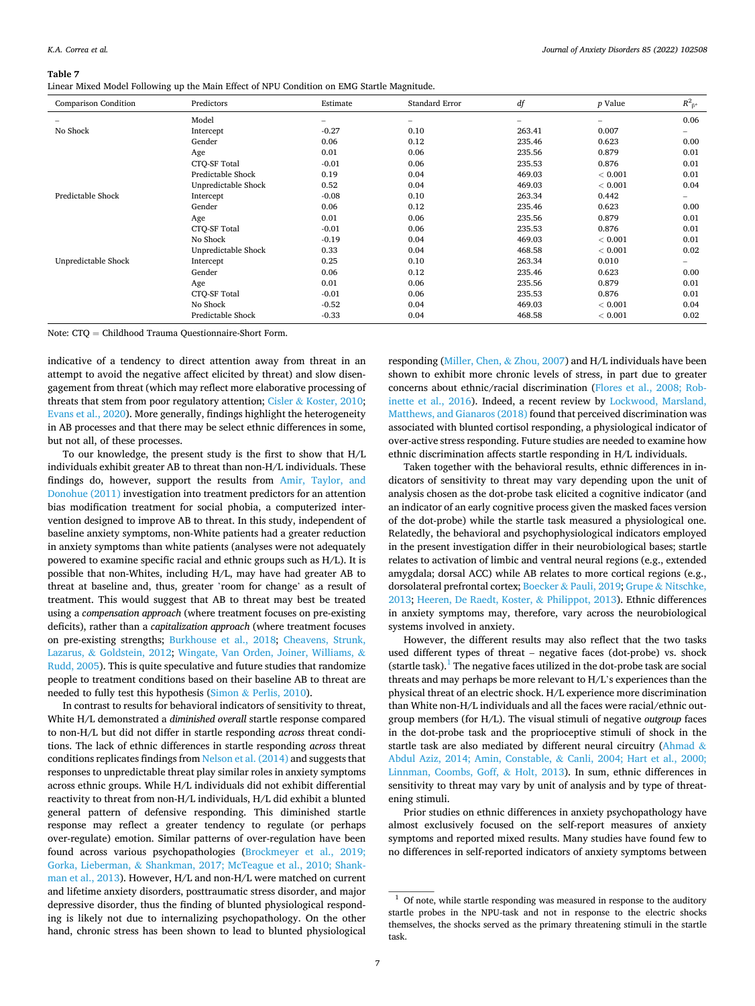#### **Table 7**

Linear Mixed Model Following up the Main Effect of NPU Condition on EMG Startle Magnitude.

| Comparison Condition | Predictors          | Estimate                 | <b>Standard Error</b>    | df                       | p Value | $R^2_{\ \beta^*}$ |
|----------------------|---------------------|--------------------------|--------------------------|--------------------------|---------|-------------------|
| -                    | Model               | $\overline{\phantom{0}}$ | $\overline{\phantom{0}}$ | $\overline{\phantom{0}}$ | -       | 0.06              |
| No Shock             | Intercept           | $-0.27$                  | 0.10                     | 263.41                   | 0.007   | -                 |
|                      | Gender              | 0.06                     | 0.12                     | 235.46                   | 0.623   | 0.00              |
|                      | Age                 | 0.01                     | 0.06                     | 235.56                   | 0.879   | 0.01              |
|                      | CTO-SF Total        | $-0.01$                  | 0.06                     | 235.53                   | 0.876   | 0.01              |
|                      | Predictable Shock   | 0.19                     | 0.04                     | 469.03                   | < 0.001 | 0.01              |
|                      | Unpredictable Shock | 0.52                     | 0.04                     | 469.03                   | < 0.001 | 0.04              |
| Predictable Shock    | Intercept           | $-0.08$                  | 0.10                     | 263.34                   | 0.442   | -                 |
|                      | Gender              | 0.06                     | 0.12                     | 235.46                   | 0.623   | 0.00              |
|                      | Age                 | 0.01                     | 0.06                     | 235.56                   | 0.879   | 0.01              |
|                      | CTO-SF Total        | $-0.01$                  | 0.06                     | 235.53                   | 0.876   | 0.01              |
|                      | No Shock            | $-0.19$                  | 0.04                     | 469.03                   | < 0.001 | 0.01              |
|                      | Unpredictable Shock | 0.33                     | 0.04                     | 468.58                   | < 0.001 | 0.02              |
| Unpredictable Shock  | Intercept           | 0.25                     | 0.10                     | 263.34                   | 0.010   | -                 |
|                      | Gender              | 0.06                     | 0.12                     | 235.46                   | 0.623   | 0.00              |
|                      | Age                 | 0.01                     | 0.06                     | 235.56                   | 0.879   | 0.01              |
|                      | CTO-SF Total        | $-0.01$                  | 0.06                     | 235.53                   | 0.876   | 0.01              |
|                      | No Shock            | $-0.52$                  | 0.04                     | 469.03                   | < 0.001 | 0.04              |
|                      | Predictable Shock   | $-0.33$                  | 0.04                     | 468.58                   | < 0.001 | 0.02              |

Note: CTQ = Childhood Trauma Questionnaire-Short Form.

indicative of a tendency to direct attention away from threat in an attempt to avoid the negative affect elicited by threat) and slow disengagement from threat (which may reflect more elaborative processing of threats that stem from poor regulatory attention; Cisler & [Koster, 2010](#page-8-0); [Evans et al., 2020](#page-8-0)). More generally, findings highlight the heterogeneity in AB processes and that there may be select ethnic differences in some, but not all, of these processes.

To our knowledge, the present study is the first to show that H/L individuals exhibit greater AB to threat than non-H/L individuals. These findings do, however, support the results from [Amir, Taylor, and](#page-7-0)  [Donohue \(2011\)](#page-7-0) investigation into treatment predictors for an attention bias modification treatment for social phobia, a computerized intervention designed to improve AB to threat. In this study, independent of baseline anxiety symptoms, non-White patients had a greater reduction in anxiety symptoms than white patients (analyses were not adequately powered to examine specific racial and ethnic groups such as H/L). It is possible that non-Whites, including H/L, may have had greater AB to threat at baseline and, thus, greater 'room for change' as a result of treatment. This would suggest that AB to threat may best be treated using a *compensation approach* (where treatment focuses on pre-existing deficits), rather than a *capitalization approach* (where treatment focuses on pre-existing strengths; [Burkhouse et al., 2018;](#page-8-0) [Cheavens, Strunk,](#page-8-0)  Lazarus, & [Goldstein, 2012](#page-8-0); [Wingate, Van Orden, Joiner, Williams,](#page-10-0) & [Rudd, 2005](#page-10-0)). This is quite speculative and future studies that randomize people to treatment conditions based on their baseline AB to threat are needed to fully test this hypothesis (Simon & [Perlis, 2010\)](#page-9-0).

In contrast to results for behavioral indicators of sensitivity to threat, White H/L demonstrated a *diminished overall* startle response compared to non-H/L but did not differ in startle responding *across* threat conditions. The lack of ethnic differences in startle responding *across* threat conditions replicates findings from [Nelson et al. \(2014\)](#page-9-0) and suggests that responses to unpredictable threat play similar roles in anxiety symptoms across ethnic groups. While H/L individuals did not exhibit differential reactivity to threat from non-H/L individuals, H/L did exhibit a blunted general pattern of defensive responding. This diminished startle response may reflect a greater tendency to regulate (or perhaps over-regulate) emotion. Similar patterns of over-regulation have been found across various psychopathologies ([Brockmeyer et al., 2019;](#page-8-0)  Gorka, Lieberman, & [Shankman, 2017; McTeague et al., 2010; Shank](#page-8-0)[man et al., 2013](#page-8-0)). However, H/L and non-H/L were matched on current and lifetime anxiety disorders, posttraumatic stress disorder, and major depressive disorder, thus the finding of blunted physiological responding is likely not due to internalizing psychopathology. On the other hand, chronic stress has been shown to lead to blunted physiological

responding ([Miller, Chen,](#page-9-0) & Zhou, 2007) and H/L individuals have been shown to exhibit more chronic levels of stress, in part due to greater concerns about ethnic/racial discrimination ([Flores et al., 2008; Rob](#page-8-0)[inette et al., 2016\)](#page-8-0). Indeed, a recent review by [Lockwood, Marsland,](#page-9-0)  [Matthews, and Gianaros \(2018\)](#page-9-0) found that perceived discrimination was associated with blunted cortisol responding, a physiological indicator of over-active stress responding. Future studies are needed to examine how ethnic discrimination affects startle responding in H/L individuals.

Taken together with the behavioral results, ethnic differences in indicators of sensitivity to threat may vary depending upon the unit of analysis chosen as the dot-probe task elicited a cognitive indicator (and an indicator of an early cognitive process given the masked faces version of the dot-probe) while the startle task measured a physiological one. Relatedly, the behavioral and psychophysiological indicators employed in the present investigation differ in their neurobiological bases; startle relates to activation of limbic and ventral neural regions (e.g., extended amygdala; dorsal ACC) while AB relates to more cortical regions (e.g., dorsolateral prefrontal cortex; Boecker & [Pauli, 2019](#page-8-0); Grupe & [Nitschke,](#page-8-0)  [2013; Heeren, De Raedt, Koster,](#page-8-0) & Philippot, 2013). Ethnic differences in anxiety symptoms may, therefore, vary across the neurobiological systems involved in anxiety.

However, the different results may also reflect that the two tasks used different types of threat – negative faces (dot-probe) vs. shock (startle task). $<sup>1</sup>$  The negative faces utilized in the dot-probe task are social</sup> threats and may perhaps be more relevant to H/L's experiences than the physical threat of an electric shock. H/L experience more discrimination than White non-H/L individuals and all the faces were racial/ethnic outgroup members (for H/L). The visual stimuli of negative *outgroup* faces in the dot-probe task and the proprioceptive stimuli of shock in the startle task are also mediated by different neural circuitry [\(Ahmad](#page-7-0)  $\&$ [Abdul Aziz, 2014; Amin, Constable,](#page-7-0) & Canli, 2004; Hart et al., 2000; [Linnman, Coombs, Goff,](#page-7-0) & Holt, 2013). In sum, ethnic differences in sensitivity to threat may vary by unit of analysis and by type of threatening stimuli.

Prior studies on ethnic differences in anxiety psychopathology have almost exclusively focused on the self-report measures of anxiety symptoms and reported mixed results. Many studies have found few to no differences in self-reported indicators of anxiety symptoms between

 $^{\rm 1}$  Of note, while startle responding was measured in response to the auditory startle probes in the NPU-task and not in response to the electric shocks themselves, the shocks served as the primary threatening stimuli in the startle task.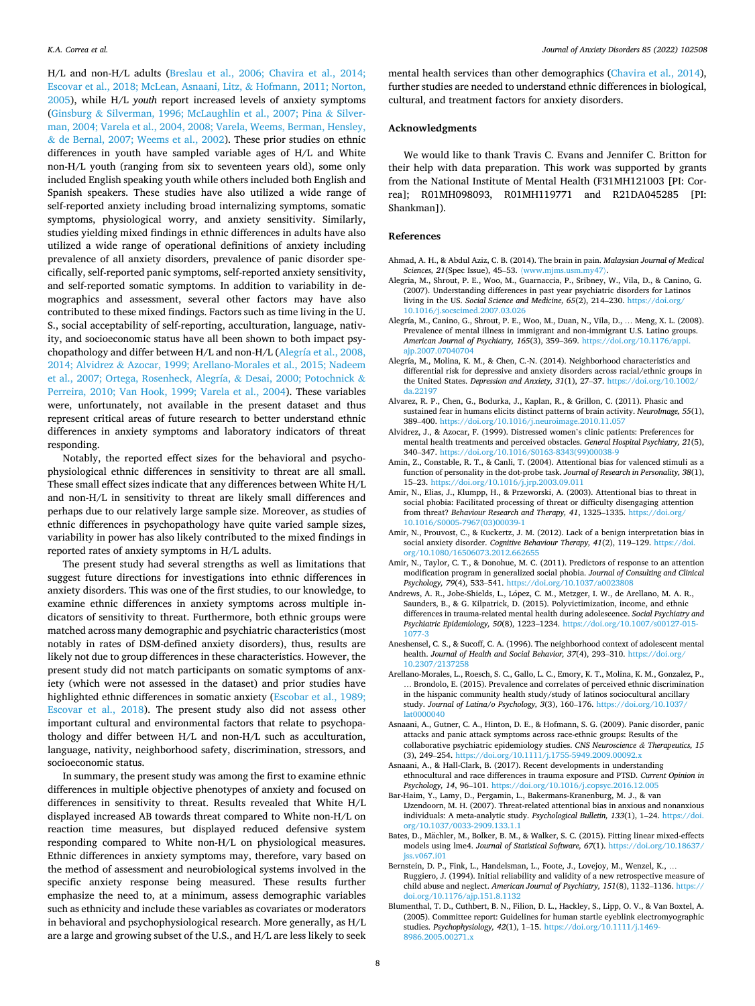<span id="page-7-0"></span>H/L and non-H/L adults ([Breslau et al., 2006; Chavira et al., 2014;](#page-8-0)  [Escovar et al., 2018; McLean, Asnaani, Litz,](#page-8-0) & Hofmann, 2011; Norton, [2005\)](#page-8-0), while H/L *youth* report increased levels of anxiety symptoms (Ginsburg & [Silverman, 1996; McLaughlin et al., 2007; Pina](#page-8-0) & Silver[man, 2004; Varela et al., 2004, 2008; Varela, Weems, Berman, Hensley,](#page-8-0)  & [de Bernal, 2007; Weems et al., 2002](#page-8-0)). These prior studies on ethnic differences in youth have sampled variable ages of H/L and White non-H/L youth (ranging from six to seventeen years old), some only included English speaking youth while others included both English and Spanish speakers. These studies have also utilized a wide range of self-reported anxiety including broad internalizing symptoms, somatic symptoms, physiological worry, and anxiety sensitivity. Similarly, studies yielding mixed findings in ethnic differences in adults have also utilized a wide range of operational definitions of anxiety including prevalence of all anxiety disorders, prevalence of panic disorder specifically, self-reported panic symptoms, self-reported anxiety sensitivity, and self-reported somatic symptoms. In addition to variability in demographics and assessment, several other factors may have also contributed to these mixed findings. Factors such as time living in the U. S., social acceptability of self-reporting, acculturation, language, nativity, and socioeconomic status have all been shown to both impact psychopathology and differ between H/L and non-H/L (Alegría et al., 2008, 2014; Alvidrez & Azocar, 1999; Arellano-Morales et al., 2015; Nadeem et al., 2007; Ortega, Rosenheck, Alegría, & Desai, 2000; Potochnick & Perreira, 2010; Van Hook, 1999; Varela et al., 2004). These variables were, unfortunately, not available in the present dataset and thus represent critical areas of future research to better understand ethnic differences in anxiety symptoms and laboratory indicators of threat responding.

Notably, the reported effect sizes for the behavioral and psychophysiological ethnic differences in sensitivity to threat are all small. These small effect sizes indicate that any differences between White H/L and non-H/L in sensitivity to threat are likely small differences and perhaps due to our relatively large sample size. Moreover, as studies of ethnic differences in psychopathology have quite varied sample sizes, variability in power has also likely contributed to the mixed findings in reported rates of anxiety symptoms in H/L adults.

The present study had several strengths as well as limitations that suggest future directions for investigations into ethnic differences in anxiety disorders. This was one of the first studies, to our knowledge, to examine ethnic differences in anxiety symptoms across multiple indicators of sensitivity to threat. Furthermore, both ethnic groups were matched across many demographic and psychiatric characteristics (most notably in rates of DSM-defined anxiety disorders), thus, results are likely not due to group differences in these characteristics. However, the present study did not match participants on somatic symptoms of anxiety (which were not assessed in the dataset) and prior studies have highlighted ethnic differences in somatic anxiety [\(Escobar et al., 1989;](#page-8-0)  [Escovar et al., 2018\)](#page-8-0). The present study also did not assess other important cultural and environmental factors that relate to psychopathology and differ between H/L and non-H/L such as acculturation, language, nativity, neighborhood safety, discrimination, stressors, and socioeconomic status.

In summary, the present study was among the first to examine ethnic differences in multiple objective phenotypes of anxiety and focused on differences in sensitivity to threat. Results revealed that White H/L displayed increased AB towards threat compared to White non-H/L on reaction time measures, but displayed reduced defensive system responding compared to White non-H/L on physiological measures. Ethnic differences in anxiety symptoms may, therefore, vary based on the method of assessment and neurobiological systems involved in the specific anxiety response being measured. These results further emphasize the need to, at a minimum, assess demographic variables such as ethnicity and include these variables as covariates or moderators in behavioral and psychophysiological research. More generally, as H/L are a large and growing subset of the U.S., and H/L are less likely to seek mental health services than other demographics [\(Chavira et al., 2014](#page-8-0)), further studies are needed to understand ethnic differences in biological, cultural, and treatment factors for anxiety disorders.

# **Acknowledgments**

We would like to thank Travis C. Evans and Jennifer C. Britton for their help with data preparation. This work was supported by grants from the National Institute of Mental Health (F31MH121003 [PI: Correa]; R01MH098093, R01MH119771 and R21DA045285 [PI: Shankman]).

## **References**

- Ahmad, A. H., & Abdul Aziz, C. B. (2014). The brain in pain. *Malaysian Journal of Medical Sciences, 21*(Spec Issue), 45–53. 〈[www.mjms.usm.my47](http://www.mjms.usm.my47)〉.
- Alegria, M., Shrout, P. E., Woo, M., Guarnaccia, P., Sribney, W., Vila, D., & Canino, G. (2007). Understanding differences in past year psychiatric disorders for Latinos living in the US. *Social Science and Medicine, 65*(2), 214–230. [https://doi.org/](https://doi.org/10.1016/j.socscimed.2007.03.026) [10.1016/j.socscimed.2007.03.026](https://doi.org/10.1016/j.socscimed.2007.03.026)
- Alegría, M., Canino, G., Shrout, P. E., Woo, M., Duan, N., Vila, D., … Meng, X. L. (2008). Prevalence of mental illness in immigrant and non-immigrant U.S. Latino groups. *American Journal of Psychiatry, 165*(3), 359–369. [https://doi.org/10.1176/appi.](https://doi.org/10.1176/appi.ajp.2007.07040704) ajp.2007.0704070
- Alegría, M., Molina, K. M., & Chen, C.-N. (2014). Neighborhood characteristics and differential risk for depressive and anxiety disorders across racial/ethnic groups in the United States. *Depression and Anxiety, 31*(1), 27–37. [https://doi.org/10.1002/](https://doi.org/10.1002/da.22197) [da.22197](https://doi.org/10.1002/da.22197)
- Alvarez, R. P., Chen, G., Bodurka, J., Kaplan, R., & Grillon, C. (2011). Phasic and sustained fear in humans elicits distinct patterns of brain activity. *NeuroImage, 55*(1), 389–400. <https://doi.org/10.1016/j.neuroimage.2010.11.057>
- Alvidrez, J., & Azocar, F. (1999). Distressed women's clinic patients: Preferences for mental health treatments and perceived obstacles. *General Hospital Psychiatry, 21*(5), 340–347. [https://doi.org/10.1016/S0163-8343\(99\)00038-9](https://doi.org/10.1016/S0163-8343(99)00038-9)
- Amin, Z., Constable, R. T., & Canli, T. (2004). Attentional bias for valenced stimuli as a function of personality in the dot-probe task. *Journal of Research in Personality, 38*(1), 15–23. <https://doi.org/10.1016/j.jrp.2003.09.011>
- Amir, N., Elias, J., Klumpp, H., & Przeworski, A. (2003). Attentional bias to threat in social phobia: Facilitated processing of threat or difficulty disengaging attention from threat? *Behaviour Research and Therapy, 41*, 1325–1335. [https://doi.org/](https://doi.org/10.1016/S0005-7967(03)00039-1) [10.1016/S0005-7967\(03\)00039-1](https://doi.org/10.1016/S0005-7967(03)00039-1)
- Amir, N., Prouvost, C., & Kuckertz, J. M. (2012). Lack of a benign interpretation bias in social anxiety disorder. *Cognitive Behaviour Therapy, 41*(2), 119–129. [https://doi.](https://doi.org/10.1080/16506073.2012.662655) [org/10.1080/16506073.2012.662655](https://doi.org/10.1080/16506073.2012.662655)
- Amir, N., Taylor, C. T., & Donohue, M. C. (2011). Predictors of response to an attention modification program in generalized social phobia. *Journal of Consulting and Clinical*  Psychology, 79(4), 533-541. https://doi.org/10.1037/a0023
- Andrews, A. R., Jobe-Shields, L., López, C. M., Metzger, I. W., de Arellano, M. A. R., Saunders, B., & G. Kilpatrick, D. (2015). Polyvictimization, income, and ethnic differences in trauma-related mental health during adolescence. *Social Psychiatry and Psychiatric Epidemiology, 50*(8), 1223–1234. [https://doi.org/10.1007/s00127-015-](https://doi.org/10.1007/s00127-015-1077-3) [1077-3](https://doi.org/10.1007/s00127-015-1077-3)
- Aneshensel, C. S., & Sucoff, C. A. (1996). The neighborhood context of adolescent mental health. *Journal of Health and Social Behavior, 37*(4), 293–310. [https://doi.org/](https://doi.org/10.2307/2137258) 10.2307/2137
- Arellano-Morales, L., Roesch, S. C., Gallo, L. C., Emory, K. T., Molina, K. M., Gonzalez, P., … Brondolo, E. (2015). Prevalence and correlates of perceived ethnic discrimination in the hispanic community health study/study of latinos sociocultural ancillary study. *Journal of Latina/o Psychology, 3*(3), 160–176. [https://doi.org/10.1037/](https://doi.org/10.1037/lat0000040)  [lat0000040](https://doi.org/10.1037/lat0000040)
- Asnaani, A., Gutner, C. A., Hinton, D. E., & Hofmann, S. G. (2009). Panic disorder, panic attacks and panic attack symptoms across race-ethnic groups: Results of the collaborative psychiatric epidemiology studies. *CNS Neuroscience & Therapeutics, 15*  (3), 249–254.<https://doi.org/10.1111/j.1755-5949.2009.00092.x>
- Asnaani, A., & Hall-Clark, B. (2017). Recent developments in understanding ethnocultural and race differences in trauma exposure and PTSD. *Current Opinion in Psychology, 14*, 96–101. <https://doi.org/10.1016/j.copsyc.2016.12.005>
- Bar-Haim, Y., Lamy, D., Pergamin, L., Bakermans-Kranenburg, M. J., & van IJzendoorn, M. H. (2007). Threat-related attentional bias in anxious and nonanxious individuals: A meta-analytic study. *Psychological Bulletin, 133*(1), 1–24. [https://doi.](https://doi.org/10.1037/0033-2909.133.1.1)  [org/10.1037/0033-2909.133.1.1](https://doi.org/10.1037/0033-2909.133.1.1)
- Bates, D., Mächler, M., Bolker, B. M., & Walker, S. C. (2015). Fitting linear mixed-effects models using lme4. *Journal of Statistical Software, 67*(1). [https://doi.org/10.18637/](https://doi.org/10.18637/jss.v067.i01)  [jss.v067.i01](https://doi.org/10.18637/jss.v067.i01)
- Bernstein, D. P., Fink, L., Handelsman, L., Foote, J., Lovejoy, M., Wenzel, K., … Ruggiero, J. (1994). Initial reliability and validity of a new retrospective measure of child abuse and neglect. *American Journal of Psychiatry, 151*(8), 1132–1136. [https://](https://doi.org/10.1176/ajp.151.8.1132)  [doi.org/10.1176/ajp.151.8.1132](https://doi.org/10.1176/ajp.151.8.1132)
- Blumenthal, T. D., Cuthbert, B. N., Filion, D. L., Hackley, S., Lipp, O. V., & Van Boxtel, A. (2005). Committee report: Guidelines for human startle eyeblink electromyographic studies. *Psychophysiology, 42*(1), 1–15. [https://doi.org/10.1111/j.1469-](https://doi.org/10.1111/j.1469-8986.2005.00271.x) [8986.2005.00271.x](https://doi.org/10.1111/j.1469-8986.2005.00271.x)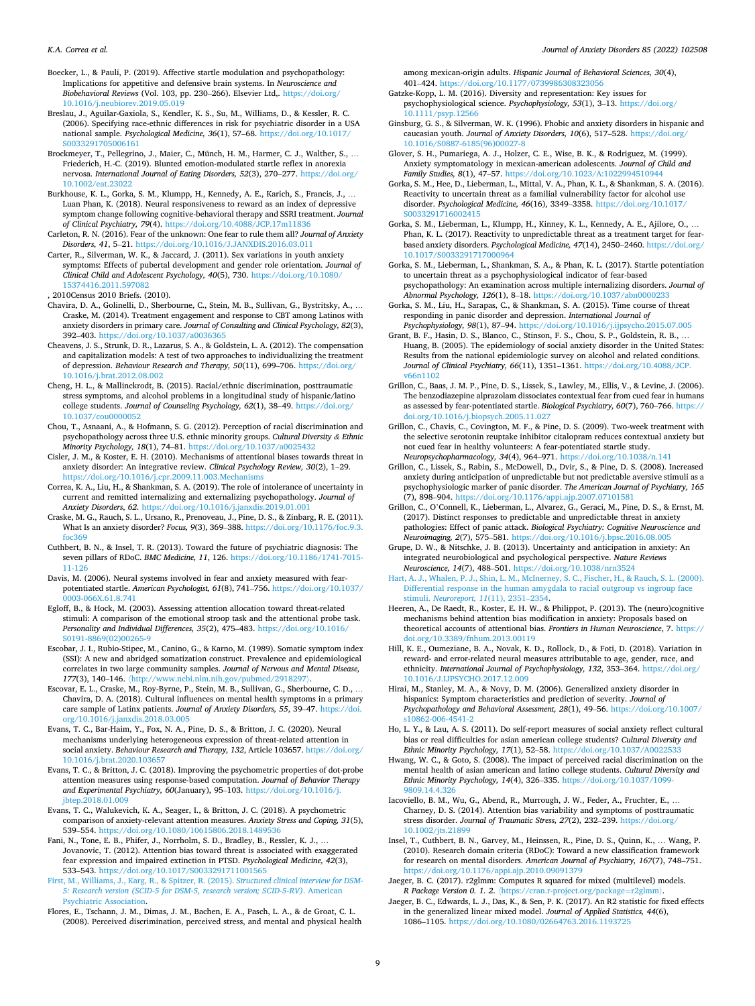<span id="page-8-0"></span>Boecker, L., & Pauli, P. (2019). Affective startle modulation and psychopathology: Implications for appetitive and defensive brain systems. In *Neuroscience and Biobehavioral Reviews* (Vol. 103, pp. 230–266). Elsevier Ltd,. [https://doi.org/](https://doi.org/10.1016/j.neubiorev.2019.05.019)  [10.1016/j.neubiorev.2019.05.019](https://doi.org/10.1016/j.neubiorev.2019.05.019) 

- Breslau, J., Aguilar-Gaxiola, S., Kendler, K. S., Su, M., Williams, D., & Kessler, R. C. (2006). Specifying race-ethnic differences in risk for psychiatric disorder in a USA national sample. *Psychological Medicine, 36*(1), 57–68. [https://doi.org/10.1017/](https://doi.org/10.1017/S0033291705006161)  [S0033291705006161](https://doi.org/10.1017/S0033291705006161)
- Brockmeyer, T., Pellegrino, J., Maier, C., Münch, H. M., Harmer, C. J., Walther, S., … Friederich, H.-C. (2019). Blunted emotion-modulated startle reflex in anorexia nervosa. *International Journal of Eating Disorders, 52*(3), 270–277. [https://doi.org/](https://doi.org/10.1002/eat.23022)  [10.1002/eat.23022](https://doi.org/10.1002/eat.23022)
- Burkhouse, K. L., Gorka, S. M., Klumpp, H., Kennedy, A. E., Karich, S., Francis, J., … Luan Phan, K. (2018). Neural responsiveness to reward as an index of depressive symptom change following cognitive-behavioral therapy and SSRI treatment. *Journal of Clinical Psychiatry, 79*(4).<https://doi.org/10.4088/JCP.17m11836>
- Carleton, R. N. (2016). Fear of the unknown: One fear to rule them all? *Journal of Anxiety Disorders, 41*, 5–21. <https://doi.org/10.1016/J.JANXDIS.2016.03.011>
- Carter, R., Silverman, W. K., & Jaccard, J. (2011). Sex variations in youth anxiety symptoms: Effects of pubertal development and gender role orientation. *Journal of Clinical Child and Adolescent Psychology, 40*(5), 730. [https://doi.org/10.1080/](https://doi.org/10.1080/15374416.2011.597082) [15374416.2011.597082](https://doi.org/10.1080/15374416.2011.597082)
- , 2010Census 2010 Briefs. (2010).
- Chavira, D. A., Golinelli, D., Sherbourne, C., Stein, M. B., Sullivan, G., Bystritsky, A., … Craske, M. (2014). Treatment engagement and response to CBT among Latinos with anxiety disorders in primary care. *Journal of Consulting and Clinical Psychology, 82*(3), 392-403. https://doi.org/10.1037/a0036
- Cheavens, J. S., Strunk, D. R., Lazarus, S. A., & Goldstein, L. A. (2012). The compensation and capitalization models: A test of two approaches to individualizing the treatment of depression. *Behaviour Research and Therapy, 50*(11), 699–706. [https://doi.org/](https://doi.org/10.1016/j.brat.2012.08.002) [10.1016/j.brat.2012.08.002](https://doi.org/10.1016/j.brat.2012.08.002)
- Cheng, H. L., & Mallinckrodt, B. (2015). Racial/ethnic discrimination, posttraumatic stress symptoms, and alcohol problems in a longitudinal study of hispanic/latino college students. *Journal of Counseling Psychology, 62*(1), 38–49. [https://doi.org/](https://doi.org/10.1037/cou0000052)  [10.1037/cou0000052](https://doi.org/10.1037/cou0000052)
- Chou, T., Asnaani, A., & Hofmann, S. G. (2012). Perception of racial discrimination and psychopathology across three U.S. ethnic minority groups. *Cultural Diversity & Ethnic Minority Psychology, 18*(1), 74–81. <https://doi.org/10.1037/a0025432>
- Cisler, J. M., & Koster, E. H. (2010). Mechanisms of attentional biases towards threat in anxiety disorder: An integrative review. *Clinical Psychology Review, 30*(2), 1–29. <https://doi.org/10.1016/j.cpr.2009.11.003.Mechanisms>
- Correa, K. A., Liu, H., & Shankman, S. A. (2019). The role of intolerance of uncertainty in current and remitted internalizing and externalizing psychopathology. *Journal of Anxiety Disorders*, *62*. <https://doi.org/10.1016/j.janxdis.2019.01.001>
- Craske, M. G., Rauch, S. L., Ursano, R., Prenoveau, J., Pine, D. S., & Zinbarg, R. E. (2011). What Is an anxiety disorder? *Focus, 9*(3), 369–388. [https://doi.org/10.1176/foc.9.3.](https://doi.org/10.1176/foc.9.3.foc369)   $f$ o $c$ 36
- Cuthbert, B. N., & Insel, T. R. (2013). Toward the future of psychiatric diagnosis: The seven pillars of RDoC. *BMC Medicine, 11*, 126. [https://doi.org/10.1186/1741-7015-](https://doi.org/10.1186/1741-7015-11-126)  [11-126](https://doi.org/10.1186/1741-7015-11-126)
- Davis, M. (2006). Neural systems involved in fear and anxiety measured with fearpotentiated startle. *American Psychologist, 61*(8), 741–756. [https://doi.org/10.1037/](https://doi.org/10.1037/0003-066X.61.8.741)  0003-066X.61.8.741
- Egloff, B., & Hock, M. (2003). Assessing attention allocation toward threat-related stimuli: A comparison of the emotional stroop task and the attentional probe task. *Personality and Individual Differences, 35*(2), 475–483. [https://doi.org/10.1016/](https://doi.org/10.1016/S0191-8869(02)00265-9) S0191-8869(02)00265-
- Escobar, J. I., Rubio-Stipec, M., Canino, G., & Karno, M. (1989). Somatic symptom index (SSI): A new and abridged somatization construct. Prevalence and epidemiological correlates in two large community samples. *Journal of Nervous and Mental Disease, 177*(3), 140–146. 〈<http://www.ncbi.nlm.nih.gov/pubmed/2918297>〉.
- Escovar, E. L., Craske, M., Roy-Byrne, P., Stein, M. B., Sullivan, G., Sherbourne, C. D., … Chavira, D. A. (2018). Cultural influences on mental health symptoms in a primary care sample of Latinx patients. *Journal of Anxiety Disorders, 55*, 39–47. [https://doi.](https://doi.org/10.1016/j.janxdis.2018.03.005)  [org/10.1016/j.janxdis.2018.03.005](https://doi.org/10.1016/j.janxdis.2018.03.005)
- Evans, T. C., Bar-Haim, Y., Fox, N. A., Pine, D. S., & Britton, J. C. (2020). Neural mechanisms underlying heterogeneous expression of threat-related attention in social anxiety. *Behaviour Research and Therapy, 132*, Article 103657. [https://doi.org/](https://doi.org/10.1016/j.brat.2020.103657)  [10.1016/j.brat.2020.103657](https://doi.org/10.1016/j.brat.2020.103657)
- Evans, T. C., & Britton, J. C. (2018). Improving the psychometric properties of dot-probe attention measures using response-based computation. *Journal of Behavior Therapy and Experimental Psychiatry, 60*(January), 95–103. [https://doi.org/10.1016/j.](https://doi.org/10.1016/j.jbtep.2018.01.009) [jbtep.2018.01.009](https://doi.org/10.1016/j.jbtep.2018.01.009)
- Evans, T. C., Walukevich, K. A., Seager, I., & Britton, J. C. (2018). A psychometric comparison of anxiety-relevant attention measures. *Anxiety Stress and Coping, 31*(5), 539-554. https://doi.org/10.1080/10615806.2018.1489
- Fani, N., Tone, E. B., Phifer, J., Norrholm, S. D., Bradley, B., Ressler, K. J., … Jovanovic, T. (2012). Attention bias toward threat is associated with exaggerated fear expression and impaired extinction in PTSD. *Psychological Medicine, 42*(3), 533–543. <https://doi.org/10.1017/S0033291711001565>
- [First, M., Williams, J., Karg, R., & Spitzer, R. \(2015\).](http://refhub.elsevier.com/S0887-6185(21)00155-9/sbref42) *Structured clinical interview for DSM-[5: Research version \(SCID-5 for DSM-5, research version; SCID-5-RV\)](http://refhub.elsevier.com/S0887-6185(21)00155-9/sbref42)*. American [Psychiatric Association.](http://refhub.elsevier.com/S0887-6185(21)00155-9/sbref42)
- Flores, E., Tschann, J. M., Dimas, J. M., Bachen, E. A., Pasch, L. A., & de Groat, C. L. (2008). Perceived discrimination, perceived stress, and mental and physical health

among mexican-origin adults. *Hispanic Journal of Behavioral Sciences, 30*(4), 401–424. https://doi.org/10.1177/0739986308

- Gatzke-Kopp, L. M. (2016). Diversity and representation: Key issues for psychophysiological science. *Psychophysiology, 53*(1), 3–13. [https://doi.org/](https://doi.org/10.1111/psyp.12566)  [10.1111/psyp.12566](https://doi.org/10.1111/psyp.12566)
- Ginsburg, G. S., & Silverman, W. K. (1996). Phobic and anxiety disorders in hispanic and caucasian youth. *Journal of Anxiety Disorders, 10*(6), 517–528. [https://doi.org/](https://doi.org/10.1016/S0887-6185(96)00027-8)  [10.1016/S0887-6185\(96\)00027-8](https://doi.org/10.1016/S0887-6185(96)00027-8)
- Glover, S. H., Pumariega, A. J., Holzer, C. E., Wise, B. K., & Rodriguez, M. (1999). Anxiety symptomatology in mexican-american adolescents. *Journal of Child and Family Studies, 8*(1), 47–57. <https://doi.org/10.1023/A:1022994510944>
- Gorka, S. M., Hee, D., Lieberman, L., Mittal, V. A., Phan, K. L., & Shankman, S. A. (2016). Reactivity to uncertain threat as a familial vulnerability factor for alcohol use disorder. *Psychological Medicine, 46*(16), 3349–3358. [https://doi.org/10.1017/](https://doi.org/10.1017/S0033291716002415)  [S0033291716002415](https://doi.org/10.1017/S0033291716002415)
- Gorka, S. M., Lieberman, L., Klumpp, H., Kinney, K. L., Kennedy, A. E., Ajilore, O., … Phan, K. L. (2017). Reactivity to unpredictable threat as a treatment target for fearbased anxiety disorders. *Psychological Medicine, 47*(14), 2450–2460. [https://doi.org/](https://doi.org/10.1017/S0033291717000964)  [10.1017/S0033291717000964](https://doi.org/10.1017/S0033291717000964)
- Gorka, S. M., Lieberman, L., Shankman, S. A., & Phan, K. L. (2017). Startle potentiation to uncertain threat as a psychophysiological indicator of fear-based psychopathology: An examination across multiple internalizing disorders. *Journal of*
- *Abnormal Psychology, 126*(1), 8–18. <https://doi.org/10.1037/abn0000233> Gorka, S. M., Liu, H., Sarapas, C., & Shankman, S. A. (2015). Time course of threat responding in panic disorder and depression. *International Journal of*
- *Psychophysiology, 98*(1), 87–94. <https://doi.org/10.1016/j.ijpsycho.2015.07.005> Grant, B. F., Hasin, D. S., Blanco, C., Stinson, F. S., Chou, S. P., Goldstein, R. B., … Huang, B. (2005). The epidemiology of social anxiety disorder in the United States:
- Results from the national epidemiologic survey on alcohol and related conditions. *Journal of Clinical Psychiatry, 66*(11), 1351–1361. [https://doi.org/10.4088/JCP.](https://doi.org/10.4088/JCP.v66n1102)  [v66n1102](https://doi.org/10.4088/JCP.v66n1102)
- Grillon, C., Baas, J. M. P., Pine, D. S., Lissek, S., Lawley, M., Ellis, V., & Levine, J. (2006). The benzodiazepine alprazolam dissociates contextual fear from cued fear in humans as assessed by fear-potentiated startle. *Biological Psychiatry, 60*(7), 760–766. [https://](https://doi.org/10.1016/j.biopsych.2005.11.027)  [doi.org/10.1016/j.biopsych.2005.11.027](https://doi.org/10.1016/j.biopsych.2005.11.027)
- Grillon, C., Chavis, C., Covington, M. F., & Pine, D. S. (2009). Two-week treatment with the selective serotonin reuptake inhibitor citalopram reduces contextual anxiety but not cued fear in healthy volunteers: A fear-potentiated startle study. *Neuropsychopharmacology, 34*(4), 964–971. <https://doi.org/10.1038/n.141>
- Grillon, C., Lissek, S., Rabin, S., McDowell, D., Dvir, S., & Pine, D. S. (2008). Increased anxiety during anticipation of unpredictable but not predictable aversive stimuli as a psychophysiologic marker of panic disorder. *The American Journal of Psychiatry, 165*  (7), 898–904.<https://doi.org/10.1176/appi.ajp.2007.07101581>
- Grillon, C., O'Connell, K., Lieberman, L., Alvarez, G., Geraci, M., Pine, D. S., & Ernst, M. (2017). Distinct responses to predictable and unpredictable threat in anxiety pathologies: Effect of panic attack. *Biological Psychiatry: Cognitive Neuroscience and Neuroimaging, 2*(7), 575–581. <https://doi.org/10.1016/j.bpsc.2016.08.005>
- Grupe, D. W., & Nitschke, J. B. (2013). Uncertainty and anticipation in anxiety: An integrated neurobiological and psychological perspective. *Nature Reviews*
- *Neuroscience, 14*(7), 488–501.<https://doi.org/10.1038/nrn3524> [Hart, A. J., Whalen, P. J., Shin, L. M., McInerney, S. C., Fischer, H., & Rauch, S. L. \(2000\).](http://refhub.elsevier.com/S0887-6185(21)00155-9/sbref57)  [Differential response in the human amygdala to racial outgroup vs ingroup face](http://refhub.elsevier.com/S0887-6185(21)00155-9/sbref57)  stimuli. *[Neuroreport, 11](http://refhub.elsevier.com/S0887-6185(21)00155-9/sbref57)*(11), 2351–2354.
- Heeren, A., De Raedt, R., Koster, E. H. W., & Philippot, P. (2013). The (neuro)cognitive mechanisms behind attention bias modification in anxiety: Proposals based on theoretical accounts of attentional bias. *Frontiers in Human Neuroscience*, 7. [https://](https://doi.org/10.3389/fnhum.2013.00119)  [doi.org/10.3389/fnhum.2013.00119](https://doi.org/10.3389/fnhum.2013.00119)
- Hill, K. E., Oumeziane, B. A., Novak, K. D., Rollock, D., & Foti, D. (2018). Variation in reward- and error-related neural measures attributable to age, gender, race, and ethnicity. *International Journal of Psychophysiology, 132*, 353–364. [https://doi.org/](https://doi.org/10.1016/J.IJPSYCHO.2017.12.009)  [10.1016/J.IJPSYCHO.2017.12.009](https://doi.org/10.1016/J.IJPSYCHO.2017.12.009)
- Hirai, M., Stanley, M. A., & Novy, D. M. (2006). Generalized anxiety disorder in hispanics: Symptom characteristics and prediction of severity. *Journal of Psychopathology and Behavioral Assessment, 28*(1), 49–56. [https://doi.org/10.1007/](https://doi.org/10.1007/s10862-006-4541-2)  [s10862-006-4541-2](https://doi.org/10.1007/s10862-006-4541-2)
- Ho, L. Y., & Lau, A. S. (2011). Do self-report measures of social anxiety reflect cultural bias or real difficulties for asian american college students? *Cultural Diversity and Ethnic Minority Psychology, 17*(1), 52-58. https://doi.org/10.1037/A002253
- Hwang, W. C., & Goto, S. (2008). The impact of perceived racial discrimination on the mental health of asian american and latino college students. *Cultural Diversity and Ethnic Minority Psychology, 14*(4), 326–335. [https://doi.org/10.1037/1099-](https://doi.org/10.1037/1099-9809.14.4.326)  [9809.14.4.326](https://doi.org/10.1037/1099-9809.14.4.326)
- Iacoviello, B. M., Wu, G., Abend, R., Murrough, J. W., Feder, A., Fruchter, E., … Charney, D. S. (2014). Attention bias variability and symptoms of posttraumatic stress disorder. *Journal of Traumatic Stress, 27*(2), 232–239. [https://doi.org/](https://doi.org/10.1002/jts.21899) [10.1002/jts.21899](https://doi.org/10.1002/jts.21899)
- Insel, T., Cuthbert, B. N., Garvey, M., Heinssen, R., Pine, D. S., Quinn, K., … Wang, P. (2010). Research domain criteria (RDoC): Toward a new classification framework for research on mental disorders. *American Journal of Psychiatry, 167*(7), 748–751. <https://doi.org/10.1176/appi.ajp.2010.09091379>
- Jaeger, B. C. (2017). r2glmm: Computes R squared for mixed (multilevel) models. *R Package Version 0. 1. 2.* \[https://cran.r-project.org/package](https://cran.r-project.org/package=r2glmm)=r2glmm
- Jaeger, B. C., Edwards, L. J., Das, K., & Sen, P. K. (2017). An R2 statistic for fixed effects in the generalized linear mixed model. *Journal of Applied Statistics, 44*(6), 1086–1105.<https://doi.org/10.1080/02664763.2016.1193725>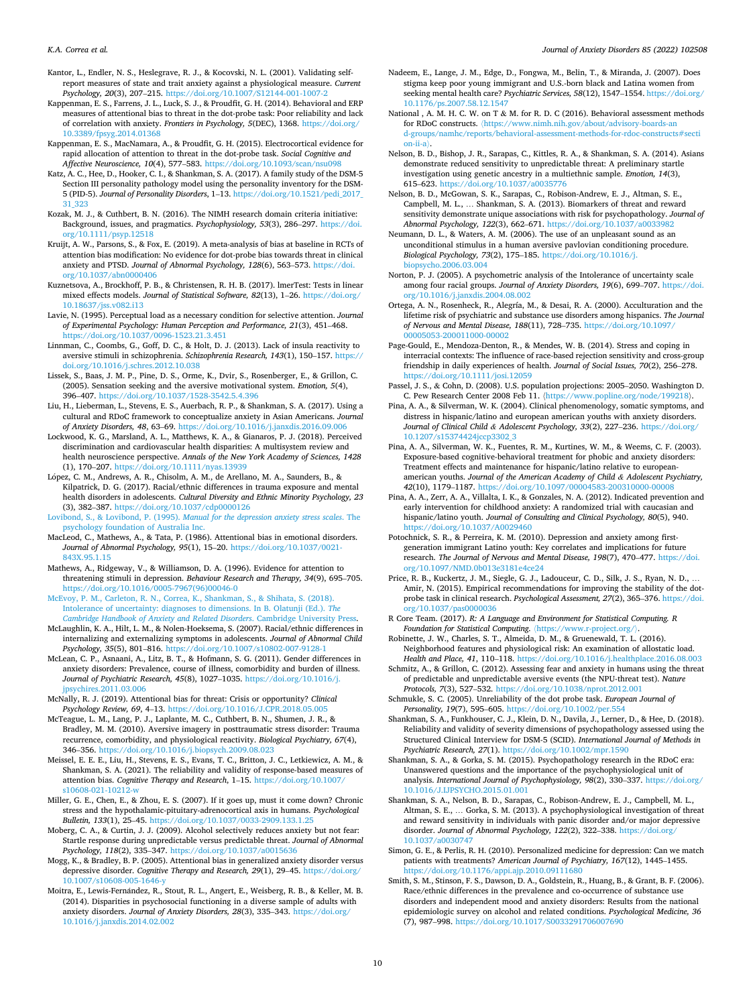- <span id="page-9-0"></span>Kantor, L., Endler, N. S., Heslegrave, R. J., & Kocovski, N. L. (2001). Validating selfreport measures of state and trait anxiety against a physiological measure. *Current Psychology, 20*(3), 207–215. <https://doi.org/10.1007/S12144-001-1007-2>
- Kappenman, E. S., Farrens, J. L., Luck, S. J., & Proudfit, G. H. (2014). Behavioral and ERP measures of attentional bias to threat in the dot-probe task: Poor reliability and lack of correlation with anxiety. *Frontiers in Psychology, 5*(DEC), 1368. [https://doi.org/](https://doi.org/10.3389/fpsyg.2014.01368)  svg.2014.01368
- Kappenman, E. S., MacNamara, A., & Proudfit, G. H. (2015). Electrocortical evidence for rapid allocation of attention to threat in the dot-probe task. *Social Cognitive and Affective Neuroscience, 10*(4), 577–583. <https://doi.org/10.1093/scan/nsu098>
- Katz, A. C., Hee, D., Hooker, C. I., & Shankman, S. A. (2017). A family study of the DSM-5 Section III personality pathology model using the personality inventory for the DSM-5 (PID-5). *Journal of Personality Disorders*, 1–13. [https://doi.org/10.1521/pedi\\_2017\\_](https://doi.org/10.1521/pedi_2017_31_323)  [31\\_323](https://doi.org/10.1521/pedi_2017_31_323)
- Kozak, M. J., & Cuthbert, B. N. (2016). The NIMH research domain criteria initiative: Background, issues, and pragmatics. *Psychophysiology, 53*(3), 286–297. [https://doi.](https://doi.org/10.1111/psyp.12518)  [org/10.1111/psyp.12518](https://doi.org/10.1111/psyp.12518)
- Kruijt, A. W., Parsons, S., & Fox, E. (2019). A meta-analysis of bias at baseline in RCTs of attention bias modification: No evidence for dot-probe bias towards threat in clinical anxiety and PTSD. *Journal of Abnormal Psychology, 128*(6), 563–573. [https://doi.](https://doi.org/10.1037/abn0000406) [org/10.1037/abn0000406](https://doi.org/10.1037/abn0000406)
- Kuznetsova, A., Brockhoff, P. B., & Christensen, R. H. B. (2017). lmerTest: Tests in linear mixed effects models. *Journal of Statistical Software, 82*(13), 1–26. [https://doi.org/](https://doi.org/10.18637/jss.v082.i13)  [10.18637/jss.v082.i13](https://doi.org/10.18637/jss.v082.i13)
- Lavie, N. (1995). Perceptual load as a necessary condition for selective attention. *Journal of Experimental Psychology: Human Perception and Performance, 21*(3), 451–468. <https://doi.org/10.1037/0096-1523.21.3.451>
- Linnman, C., Coombs, G., Goff, D. C., & Holt, D. J. (2013). Lack of insula reactivity to aversive stimuli in schizophrenia. *Schizophrenia Research, 143*(1), 150–157. [https://](https://doi.org/10.1016/j.schres.2012.10.038)  [doi.org/10.1016/j.schres.2012.10.038](https://doi.org/10.1016/j.schres.2012.10.038)
- Lissek, S., Baas, J. M. P., Pine, D. S., Orme, K., Dvir, S., Rosenberger, E., & Grillon, C. (2005). Sensation seeking and the aversive motivational system. *Emotion, 5*(4), 396–407. <https://doi.org/10.1037/1528-3542.5.4.396>
- Liu, H., Lieberman, L., Stevens, E. S., Auerbach, R. P., & Shankman, S. A. (2017). Using a cultural and RDoC framework to conceptualize anxiety in Asian Americans. *Journal of Anxiety Disorders, 48*, 63–69. <https://doi.org/10.1016/j.janxdis.2016.09.006>
- Lockwood, K. G., Marsland, A. L., Matthews, K. A., & Gianaros, P. J. (2018). Perceived discrimination and cardiovascular health disparities: A multisystem review and health neuroscience perspective. *Annals of the New York Academy of Sciences, 1428*  (1), 170–207.<https://doi.org/10.1111/nyas.13939>
- López, C. M., Andrews, A. R., Chisolm, A. M., de Arellano, M. A., Saunders, B., & Kilpatrick, D. G. (2017). Racial/ethnic differences in trauma exposure and mental health disorders in adolescents. *Cultural Diversity and Ethnic Minority Psychology, 23*  (3), 382–387.<https://doi.org/10.1037/cdp0000126>
- Lovibond, S., & Lovibond, P. (1995). *[Manual for the depression anxiety stress scales](http://refhub.elsevier.com/S0887-6185(21)00155-9/sbref80)*. The [psychology foundation of Australia Inc.](http://refhub.elsevier.com/S0887-6185(21)00155-9/sbref80)
- MacLeod, C., Mathews, A., & Tata, P. (1986). Attentional bias in emotional disorders. *Journal of Abnormal Psychology, 95*(1), 15–20. [https://doi.org/10.1037/0021-](https://doi.org/10.1037/0021-843X.95.1.15) [843X.95.1.15](https://doi.org/10.1037/0021-843X.95.1.15)
- Mathews, A., Ridgeway, V., & Williamson, D. A. (1996). Evidence for attention to threatening stimuli in depression. *Behaviour Research and Therapy, 34*(9), 695–705. [https://doi.org/10.1016/0005-7967\(96\)00046-0](https://doi.org/10.1016/0005-7967(96)00046-0)
- [McEvoy, P. M., Carleton, R. N., Correa, K., Shankman, S., & Shihata, S. \(2018\).](http://refhub.elsevier.com/S0887-6185(21)00155-9/sbref83)  [Intolerance of uncertainty: diagnoses to dimensions. In B. Olatunji \(Ed.\).](http://refhub.elsevier.com/S0887-6185(21)00155-9/sbref83) *The [Cambridge Handbook of Anxiety and Related Disorders](http://refhub.elsevier.com/S0887-6185(21)00155-9/sbref83)*. Cambridge University Press.
- McLaughlin, K. A., Hilt, L. M., & Nolen-Hoeksema, S. (2007). Racial/ethnic differences in internalizing and externalizing symptoms in adolescents. *Journal of Abnormal Child Psychology, 35*(5), 801–816. <https://doi.org/10.1007/s10802-007-9128-1>
- McLean, C. P., Asnaani, A., Litz, B. T., & Hofmann, S. G. (2011). Gender differences in anxiety disorders: Prevalence, course of illness, comorbidity and burden of illness. *Journal of Psychiatric Research, 45*(8), 1027–1035. [https://doi.org/10.1016/j.](https://doi.org/10.1016/j.jpsychires.2011.03.006)  psychires.2011.03.006
- McNally, R. J. (2019). Attentional bias for threat: Crisis or opportunity? *Clinical Psychology Review, 69*, 4–13. <https://doi.org/10.1016/J.CPR.2018.05.005>
- McTeague, L. M., Lang, P. J., Laplante, M. C., Cuthbert, B. N., Shumen, J. R., & Bradley, M. M. (2010). Aversive imagery in posttraumatic stress disorder: Trauma recurrence, comorbidity, and physiological reactivity. *Biological Psychiatry, 67*(4), 346–356. <https://doi.org/10.1016/j.biopsych.2009.08.023>
- Meissel, E. E. E., Liu, H., Stevens, E. S., Evans, T. C., Britton, J. C., Letkiewicz, A. M., & Shankman, S. A. (2021). The reliability and validity of response-based measures of attention bias. *Cognitive Therapy and Research*, 1–15. [https://doi.org/10.1007/](https://doi.org/10.1007/s10608-021-10212-w) s10608-021-10212-
- Miller, G. E., Chen, E., & Zhou, E. S. (2007). If it goes up, must it come down? Chronic stress and the hypothalamic-pituitary-adrenocortical axis in humans. *Psychological Bulletin, 133*(1), 25–45. <https://doi.org/10.1037/0033-2909.133.1.25>
- Moberg, C. A., & Curtin, J. J. (2009). Alcohol selectively reduces anxiety but not fear: Startle response during unpredictable versus predictable threat. *Journal of Abnormal*  Psychology, 118(2), 335-347. https://doi.org/10.1037/a001563
- Mogg, K., & Bradley, B. P. (2005). Attentional bias in generalized anxiety disorder versus depressive disorder. *Cognitive Therapy and Research, 29*(1), 29–45. [https://doi.org/](https://doi.org/10.1007/s10608-005-1646-y)  [10.1007/s10608-005-1646-y](https://doi.org/10.1007/s10608-005-1646-y)
- Moitra, E., Lewis-Fernández, R., Stout, R. L., Angert, E., Weisberg, R. B., & Keller, M. B. (2014). Disparities in psychosocial functioning in a diverse sample of adults with anxiety disorders. *Journal of Anxiety Disorders, 28*(3), 335–343. [https://doi.org/](https://doi.org/10.1016/j.janxdis.2014.02.002)  [10.1016/j.janxdis.2014.02.002](https://doi.org/10.1016/j.janxdis.2014.02.002)
- Nadeem, E., Lange, J. M., Edge, D., Fongwa, M., Belin, T., & Miranda, J. (2007). Does stigma keep poor young immigrant and U.S.-born black and Latina women from seeking mental health care? *Psychiatric Services, 58*(12), 1547–1554. [https://doi.org/](https://doi.org/10.1176/ps.2007.58.12.1547)  [10.1176/ps.2007.58.12.1547](https://doi.org/10.1176/ps.2007.58.12.1547)
- National , A. M. H. C. W. on T & M. for R. D. C (2016). Behavioral assessment methods for RDoC constructs. 〈[https://www.nimh.nih.gov/about/advisory-boards-an](https://www.nimh.nih.gov/about/advisory-boards-and-groups/namhc/reports/behavioral-assessment-methods-for-rdoc-constructs#section-ii-a) [d-groups/namhc/reports/behavioral-assessment-methods-for-rdoc-constructs#secti](https://www.nimh.nih.gov/about/advisory-boards-and-groups/namhc/reports/behavioral-assessment-methods-for-rdoc-constructs#section-ii-a)  [on-ii-a](https://www.nimh.nih.gov/about/advisory-boards-and-groups/namhc/reports/behavioral-assessment-methods-for-rdoc-constructs#section-ii-a)〉.
- Nelson, B. D., Bishop, J. R., Sarapas, C., Kittles, R. A., & Shankman, S. A. (2014). Asians demonstrate reduced sensitivity to unpredictable threat: A preliminary startle investigation using genetic ancestry in a multiethnic sample. *Emotion, 14*(3), 615–623. <https://doi.org/10.1037/a0035776>
- Nelson, B. D., McGowan, S. K., Sarapas, C., Robison-Andrew, E. J., Altman, S. E., Campbell, M. L., … Shankman, S. A. (2013). Biomarkers of threat and reward sensitivity demonstrate unique associations with risk for psychopathology. *Journal of Abnormal Psychology, 122(3), 662-671. https://doi.org/10.1037/a0033*
- Neumann, D. L., & Waters, A. M. (2006). The use of an unpleasant sound as an unconditional stimulus in a human aversive pavlovian conditioning procedure. *Biological Psychology, 73*(2), 175–185. [https://doi.org/10.1016/j.](https://doi.org/10.1016/j.biopsycho.2006.03.004) [biopsycho.2006.03.004](https://doi.org/10.1016/j.biopsycho.2006.03.004)
- Norton, P. J. (2005). A psychometric analysis of the Intolerance of uncertainty scale among four racial groups. *Journal of Anxiety Disorders, 19*(6), 699–707. [https://doi.](https://doi.org/10.1016/j.janxdis.2004.08.002)  [org/10.1016/j.janxdis.2004.08.002](https://doi.org/10.1016/j.janxdis.2004.08.002)
- Ortega, A. N., Rosenheck, R., Alegría, M., & Desai, R. A. (2000). Acculturation and the lifetime risk of psychiatric and substance use disorders among hispanics. *The Journal of Nervous and Mental Disease, 188*(11), 728–735. [https://doi.org/10.1097/](https://doi.org/10.1097/00005053-200011000-00002)  053-200011000-00002
- Page-Gould, E., Mendoza-Denton, R., & Mendes, W. B. (2014). Stress and coping in interracial contexts: The influence of race-based rejection sensitivity and cross-group friendship in daily experiences of health. *Journal of Social Issues, 70*(2), 256–278. <https://doi.org/10.1111/josi.12059>
- Passel, J. S., & Cohn, D. (2008). U.S. population projections: 2005–2050. Washington D. C. Pew Research Center 2008 Feb 11. 〈<https://www.popline.org/node/199218>〉.
- Pina, A. A., & Silverman, W. K. (2004). Clinical phenomenology, somatic symptoms, and distress in hispanic/latino and european american youths with anxiety disorders. *Journal of Clinical Child & Adolescent Psychology, 33*(2), 227–236. [https://doi.org/](https://doi.org/10.1207/s15374424jccp3302_3) [10.1207/s15374424jccp3302\\_3](https://doi.org/10.1207/s15374424jccp3302_3)
- Pina, A. A., Silverman, W. K., Fuentes, R. M., Kurtines, W. M., & Weems, C. F. (2003). Exposure-based cognitive-behavioral treatment for phobic and anxiety disorders: Treatment effects and maintenance for hispanic/latino relative to europeanamerican youths. *Journal of the American Academy of Child & Adolescent Psychiatry, 42*(10), 1179–1187.<https://doi.org/10.1097/00004583-200310000-00008>
- Pina, A. A., Zerr, A. A., Villalta, I. K., & Gonzales, N. A. (2012). Indicated prevention and early intervention for childhood anxiety: A randomized trial with caucasian and hispanic/latino youth. *Journal of Consulting and Clinical Psychology, 80*(5), 940. <https://doi.org/10.1037/A0029460>
- Potochnick, S. R., & Perreira, K. M. (2010). Depression and anxiety among firstgeneration immigrant Latino youth: Key correlates and implications for future research. *The Journal of Nervous and Mental Disease, 198*(7), 470–477. [https://doi.](https://doi.org/10.1097/NMD.0b013e3181e4ce24) [org/10.1097/NMD.0b013e3181e4ce24](https://doi.org/10.1097/NMD.0b013e3181e4ce24)
- Price, R. B., Kuckertz, J. M., Siegle, G. J., Ladouceur, C. D., Silk, J. S., Ryan, N. D., … Amir, N. (2015). Empirical recommendations for improving the stability of the dotprobe task in clinical research. *Psychological Assessment, 27*(2), 365–376. [https://doi.](https://doi.org/10.1037/pas0000036)  [org/10.1037/pas0000036](https://doi.org/10.1037/pas0000036)
- R Core Team. (2017). *R: A Language and Environment for Statistical Computing. R Foundation for Statistical Computing*. 〈<https://www.r-project.org/>〉.
- Robinette, J. W., Charles, S. T., Almeida, D. M., & Gruenewald, T. L. (2016). Neighborhood features and physiological risk: An examination of allostatic load. *Health and Place, 41*, 110–118. <https://doi.org/10.1016/j.healthplace.2016.08.003>
- Schmitz, A., & Grillon, C. (2012). Assessing fear and anxiety in humans using the threat of predictable and unpredictable aversive events (the NPU-threat test). *Nature Protocols, 7*(3), 527–532.<https://doi.org/10.1038/nprot.2012.001>
- Schmukle, S. C. (2005). Unreliability of the dot probe task. *European Journal of Personality, 19*(7), 595–605. <https://doi.org/10.1002/per.554>
- Shankman, S. A., Funkhouser, C. J., Klein, D. N., Davila, J., Lerner, D., & Hee, D. (2018). Reliability and validity of severity dimensions of psychopathology assessed using the Structured Clinical Interview for DSM-5 (SCID). *International Journal of Methods in Psychiatric Research, 27*(1). <https://doi.org/10.1002/mpr.1590>
- Shankman, S. A., & Gorka, S. M. (2015). Psychopathology research in the RDoC era: Unanswered questions and the importance of the psychophysiological unit of analysis. *International Journal of Psychophysiology, 98*(2), 330–337. [https://doi.org/](https://doi.org/10.1016/J.IJPSYCHO.2015.01.001)  [10.1016/J.IJPSYCHO.2015.01.001](https://doi.org/10.1016/J.IJPSYCHO.2015.01.001)
- Shankman, S. A., Nelson, B. D., Sarapas, C., Robison-Andrew, E. J., Campbell, M. L., Altman, S. E., … Gorka, S. M. (2013). A psychophysiological investigation of threat and reward sensitivity in individuals with panic disorder and/or major depressive disorder. *Journal of Abnormal Psychology, 122*(2), 322-338. https://doi.org [10.1037/a0030747](https://doi.org/10.1037/a0030747)
- Simon, G. E., & Perlis, R. H. (2010). Personalized medicine for depression: Can we match patients with treatments? *American Journal of Psychiatry, 167*(12), 1445–1455. /doi.org/10.1176/appi.ajp.2010.09111680
- Smith, S. M., Stinson, F. S., Dawson, D. A., Goldstein, R., Huang, B., & Grant, B. F. (2006). Race/ethnic differences in the prevalence and co-occurrence of substance use disorders and independent mood and anxiety disorders: Results from the national epidemiologic survey on alcohol and related conditions. *Psychological Medicine, 36*  (7), 987–998.<https://doi.org/10.1017/S0033291706007690>